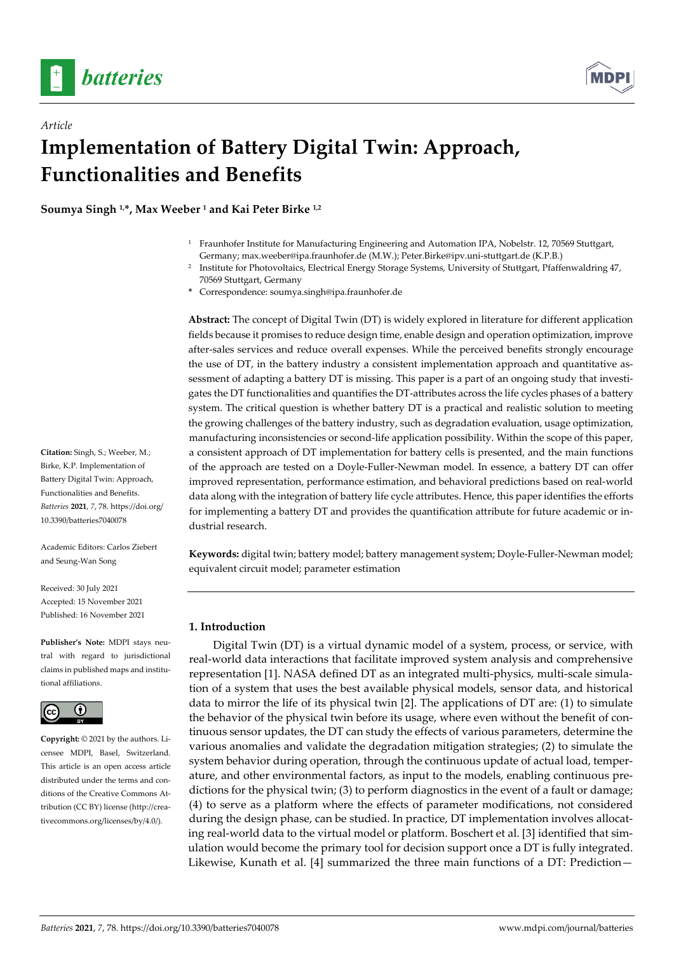

*Article*



# **Implementation of Battery Digital Twin: Approach, Functionalities and Benefits**

**Soumya Singh 1,\*, Max Weeber 1 and Kai Peter Birke 1,2**

- <sup>1</sup> Fraunhofer Institute for Manufacturing Engineering and Automation IPA, Nobelstr. 12, 70569 Stuttgart, Germany; max.weeber@ipa.fraunhofer.de (M.W.); Peter.Birke@ipv.uni-stuttgart.de (K.P.B.)
- <sup>2</sup> Institute for Photovoltaics, Electrical Energy Storage Systems, University of Stuttgart, Pfaffenwaldring 47, 70569 Stuttgart, Germany
- **\*** Correspondence: soumya.singh@ipa.fraunhofer.de

**Abstract:** The concept of Digital Twin (DT) is widely explored in literature for different application fields because it promises to reduce design time, enable design and operation optimization, improve after-sales services and reduce overall expenses. While the perceived benefits strongly encourage the use of DT, in the battery industry a consistent implementation approach and quantitative assessment of adapting a battery DT is missing. This paper is a part of an ongoing study that investigates the DT functionalities and quantifies the DT-attributes across the life cycles phases of a battery system. The critical question is whether battery DT is a practical and realistic solution to meeting the growing challenges of the battery industry, such as degradation evaluation, usage optimization, manufacturing inconsistencies or second-life application possibility. Within the scope of this paper, a consistent approach of DT implementation for battery cells is presented, and the main functions of the approach are tested on a Doyle-Fuller-Newman model. In essence, a battery DT can offer improved representation, performance estimation, and behavioral predictions based on real-world data along with the integration of battery life cycle attributes. Hence, this paper identifies the efforts for implementing a battery DT and provides the quantification attribute for future academic or industrial research.

**Keywords:** digital twin; battery model; battery management system; Doyle-Fuller-Newman model; equivalent circuit model; parameter estimation

### **1. Introduction**

Digital Twin (DT) is a virtual dynamic model of a system, process, or service, with real-world data interactions that facilitate improved system analysis and comprehensive representation [1]. NASA defined DT as an integrated multi-physics, multi-scale simulation of a system that uses the best available physical models, sensor data, and historical data to mirror the life of its physical twin [2]. The applications of  $DT$  are: (1) to simulate the behavior of the physical twin before its usage, where even without the benefit of continuous sensor updates, the DT can study the effects of various parameters, determine the various anomalies and validate the degradation mitigation strategies; (2) to simulate the system behavior during operation, through the continuous update of actual load, temperature, and other environmental factors, as input to the models, enabling continuous predictions for the physical twin; (3) to perform diagnostics in the event of a fault or damage; (4) to serve as a platform where the effects of parameter modifications, not considered during the design phase, can be studied. In practice, DT implementation involves allocating real-world data to the virtual model or platform. Boschert et al. [3] identified that simulation would become the primary tool for decision support once a DT is fully integrated. Likewise, Kunath et al. [4] summarized the three main functions of a DT: Prediction—

**Citation:** Singh, S.; Weeber, M.; Birke, K.P. Implementation of Battery Digital Twin: Approach, Functionalities and Benefits. *Batteries* **2021**, *7*, 78. https://doi.org/ 10.3390/batteries7040078

Academic Editors: Carlos Ziebert and Seung-Wan Song

Received: 30 July 2021 Accepted: 15 November 2021 Published: 16 November 2021

**Publisher's Note:** MDPI stays neutral with regard to jurisdictional claims in published maps and institutional affiliations.



**Copyright:** © 2021 by the authors. Licensee MDPI, Basel, Switzerland. This article is an open access article distributed under the terms and conditions of the Creative Commons Attribution (CC BY) license (http://creativecommons.org/licenses/by/4.0/).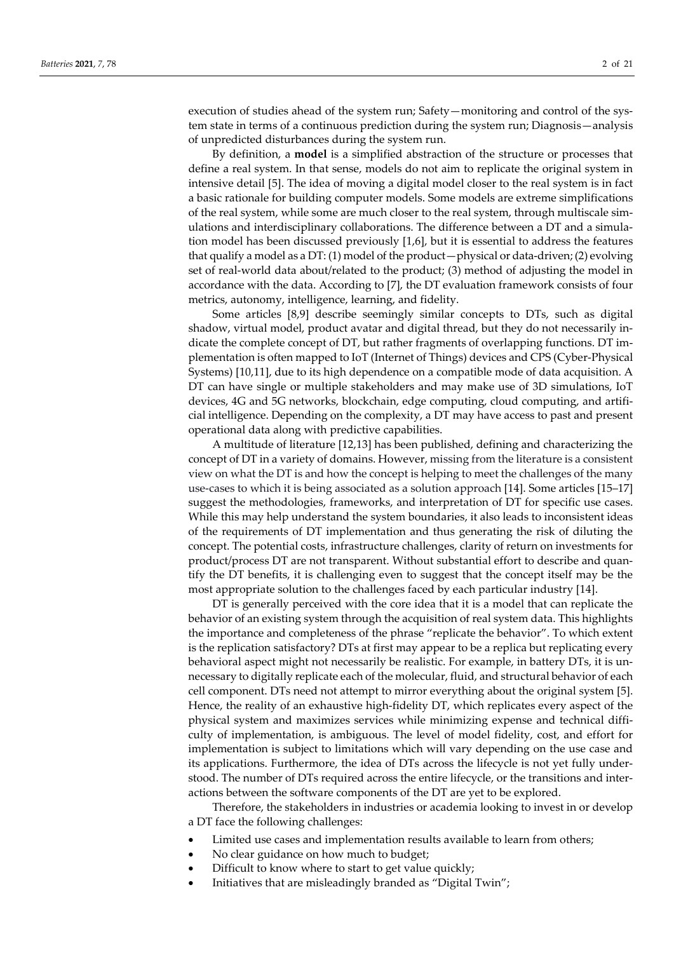execution of studies ahead of the system run; Safety—monitoring and control of the system state in terms of a continuous prediction during the system run; Diagnosis—analysis of unpredicted disturbances during the system run.

By definition, a **model** is a simplified abstraction of the structure or processes that define a real system. In that sense, models do not aim to replicate the original system in intensive detail [5]. The idea of moving a digital model closer to the real system is in fact a basic rationale for building computer models. Some models are extreme simplifications of the real system, while some are much closer to the real system, through multiscale simulations and interdisciplinary collaborations. The difference between a DT and a simulation model has been discussed previously [1,6], but it is essential to address the features that qualify a model as a DT: (1) model of the product—physical or data-driven; (2) evolving set of real-world data about/related to the product; (3) method of adjusting the model in accordance with the data. According to [7], the DT evaluation framework consists of four metrics, autonomy, intelligence, learning, and fidelity.

Some articles [8,9] describe seemingly similar concepts to DTs, such as digital shadow, virtual model, product avatar and digital thread, but they do not necessarily indicate the complete concept of DT, but rather fragments of overlapping functions. DT implementation is often mapped to IoT (Internet of Things) devices and CPS (Cyber-Physical Systems) [10,11], due to its high dependence on a compatible mode of data acquisition. A DT can have single or multiple stakeholders and may make use of 3D simulations, IoT devices, 4G and 5G networks, blockchain, edge computing, cloud computing, and artificial intelligence. Depending on the complexity, a DT may have access to past and present operational data along with predictive capabilities.

A multitude of literature [12,13] has been published, defining and characterizing the concept of DT in a variety of domains. However, missing from the literature is a consistent view on what the DT is and how the concept is helping to meet the challenges of the many use-cases to which it is being associated as a solution approach [14]. Some articles [15–17] suggest the methodologies, frameworks, and interpretation of DT for specific use cases. While this may help understand the system boundaries, it also leads to inconsistent ideas of the requirements of DT implementation and thus generating the risk of diluting the concept. The potential costs, infrastructure challenges, clarity of return on investments for product/process DT are not transparent. Without substantial effort to describe and quantify the DT benefits, it is challenging even to suggest that the concept itself may be the most appropriate solution to the challenges faced by each particular industry [14].

DT is generally perceived with the core idea that it is a model that can replicate the behavior of an existing system through the acquisition of real system data. This highlights the importance and completeness of the phrase "replicate the behavior". To which extent is the replication satisfactory? DTs at first may appear to be a replica but replicating every behavioral aspect might not necessarily be realistic. For example, in battery DTs, it is unnecessary to digitally replicate each of the molecular, fluid, and structural behavior of each cell component. DTs need not attempt to mirror everything about the original system [5]. Hence, the reality of an exhaustive high-fidelity DT, which replicates every aspect of the physical system and maximizes services while minimizing expense and technical difficulty of implementation, is ambiguous. The level of model fidelity, cost, and effort for implementation is subject to limitations which will vary depending on the use case and its applications. Furthermore, the idea of DTs across the lifecycle is not yet fully understood. The number of DTs required across the entire lifecycle, or the transitions and interactions between the software components of the DT are yet to be explored.

Therefore, the stakeholders in industries or academia looking to invest in or develop a DT face the following challenges:

- Limited use cases and implementation results available to learn from others;
- No clear guidance on how much to budget;
- Difficult to know where to start to get value quickly;
- Initiatives that are misleadingly branded as "Digital Twin";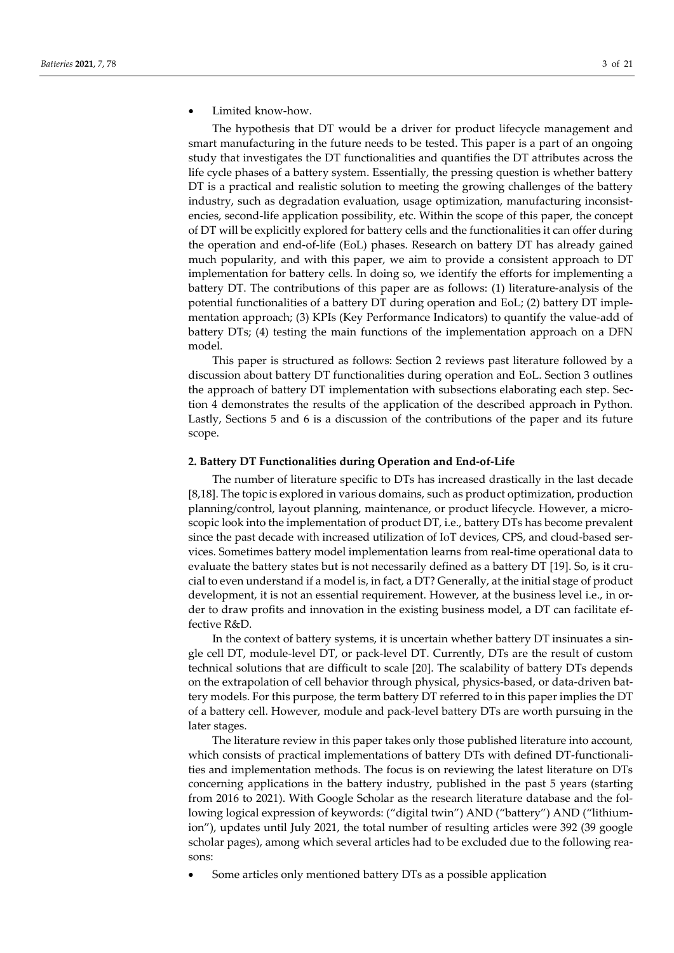Limited know-how.

The hypothesis that DT would be a driver for product lifecycle management and smart manufacturing in the future needs to be tested. This paper is a part of an ongoing study that investigates the DT functionalities and quantifies the DT attributes across the life cycle phases of a battery system. Essentially, the pressing question is whether battery DT is a practical and realistic solution to meeting the growing challenges of the battery industry, such as degradation evaluation, usage optimization, manufacturing inconsistencies, second-life application possibility, etc. Within the scope of this paper, the concept of DT will be explicitly explored for battery cells and the functionalities it can offer during the operation and end-of-life (EoL) phases. Research on battery DT has already gained much popularity, and with this paper, we aim to provide a consistent approach to DT implementation for battery cells. In doing so, we identify the efforts for implementing a battery DT. The contributions of this paper are as follows: (1) literature-analysis of the potential functionalities of a battery DT during operation and EoL; (2) battery DT implementation approach; (3) KPIs (Key Performance Indicators) to quantify the value-add of battery DTs; (4) testing the main functions of the implementation approach on a DFN model.

This paper is structured as follows: Section 2 reviews past literature followed by a discussion about battery DT functionalities during operation and EoL. Section 3 outlines the approach of battery DT implementation with subsections elaborating each step. Section 4 demonstrates the results of the application of the described approach in Python. Lastly, Sections 5 and 6 is a discussion of the contributions of the paper and its future scope.

#### **2. Battery DT Functionalities during Operation and End-of-Life**

The number of literature specific to DTs has increased drastically in the last decade [8,18]. The topic is explored in various domains, such as product optimization, production planning/control, layout planning, maintenance, or product lifecycle. However, a microscopic look into the implementation of product DT, i.e., battery DTs has become prevalent since the past decade with increased utilization of IoT devices, CPS, and cloud-based services. Sometimes battery model implementation learns from real-time operational data to evaluate the battery states but is not necessarily defined as a battery DT [19]. So, is it crucial to even understand if a model is, in fact, a DT? Generally, at the initial stage of product development, it is not an essential requirement. However, at the business level i.e., in order to draw profits and innovation in the existing business model, a DT can facilitate effective R&D.

In the context of battery systems, it is uncertain whether battery DT insinuates a single cell DT, module-level DT, or pack-level DT. Currently, DTs are the result of custom technical solutions that are difficult to scale [20]. The scalability of battery DTs depends on the extrapolation of cell behavior through physical, physics-based, or data-driven battery models. For this purpose, the term battery DT referred to in this paper implies the DT of a battery cell. However, module and pack-level battery DTs are worth pursuing in the later stages.

The literature review in this paper takes only those published literature into account, which consists of practical implementations of battery DTs with defined DT-functionalities and implementation methods. The focus is on reviewing the latest literature on DTs concerning applications in the battery industry, published in the past 5 years (starting from 2016 to 2021). With Google Scholar as the research literature database and the following logical expression of keywords: ("digital twin") AND ("battery") AND ("lithiumion"), updates until July 2021, the total number of resulting articles were 392 (39 google scholar pages), among which several articles had to be excluded due to the following reasons:

• Some articles only mentioned battery DTs as a possible application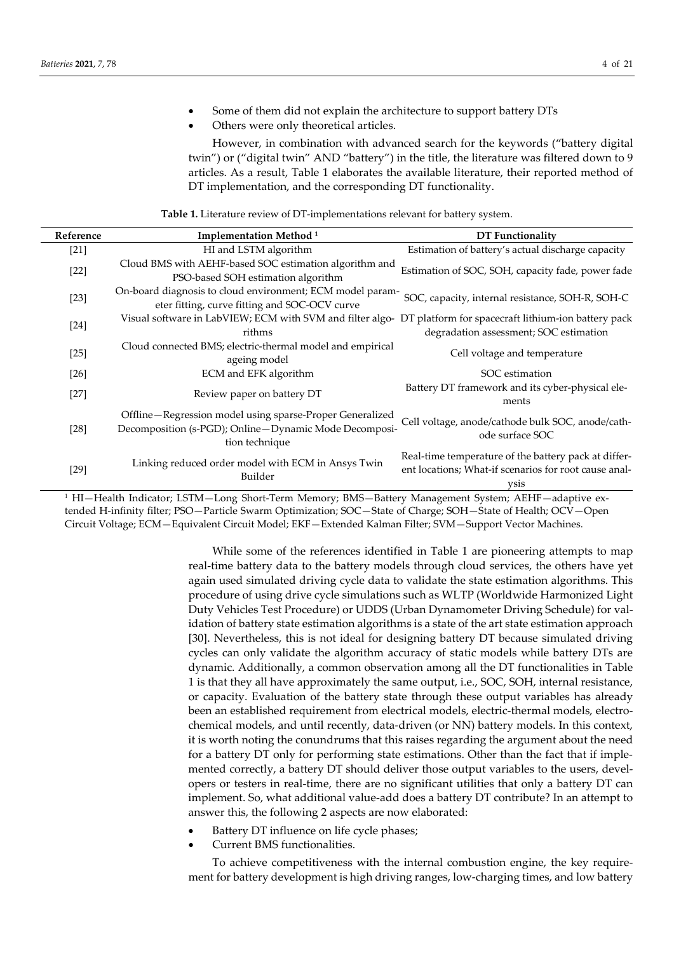- Some of them did not explain the architecture to support battery DTs
- Others were only theoretical articles.

However, in combination with advanced search for the keywords ("battery digital twin") or ("digital twin" AND "battery") in the title, the literature was filtered down to 9 articles. As a result, Table 1 elaborates the available literature, their reported method of DT implementation, and the corresponding DT functionality.

**Table 1.** Literature review of DT-implementations relevant for battery system.

| Reference | Implementation Method <sup>1</sup>                                                                                                  | <b>DT</b> Functionality                                                                                               |
|-----------|-------------------------------------------------------------------------------------------------------------------------------------|-----------------------------------------------------------------------------------------------------------------------|
| $[21]$    | HI and LSTM algorithm                                                                                                               | Estimation of battery's actual discharge capacity                                                                     |
| $[22]$    | Cloud BMS with AEHF-based SOC estimation algorithm and<br>PSO-based SOH estimation algorithm                                        | Estimation of SOC, SOH, capacity fade, power fade                                                                     |
| $[23]$    | On-board diagnosis to cloud environment; ECM model param-<br>eter fitting, curve fitting and SOC-OCV curve                          | SOC, capacity, internal resistance, SOH-R, SOH-C                                                                      |
| $[24]$    | Visual software in LabVIEW; ECM with SVM and filter algo-                                                                           | DT platform for spacecraft lithium-ion battery pack                                                                   |
|           | rithms                                                                                                                              | degradation assessment; SOC estimation                                                                                |
| $[25]$    | Cloud connected BMS; electric-thermal model and empirical<br>ageing model                                                           | Cell voltage and temperature                                                                                          |
| $[26]$    | ECM and EFK algorithm                                                                                                               | SOC estimation                                                                                                        |
| $[27]$    | Review paper on battery DT                                                                                                          | Battery DT framework and its cyber-physical ele-<br>ments                                                             |
| $[28]$    | Offline-Regression model using sparse-Proper Generalized<br>Decomposition (s-PGD); Online-Dynamic Mode Decomposi-<br>tion technique | Cell voltage, anode/cathode bulk SOC, anode/cath-<br>ode surface SOC                                                  |
| $[29]$    | Linking reduced order model with ECM in Ansys Twin<br>Builder                                                                       | Real-time temperature of the battery pack at differ-<br>ent locations; What-if scenarios for root cause anal-<br>ysis |

<sup>1</sup> HI—Health Indicator; LSTM—Long Short-Term Memory; BMS—Battery Management System; AEHF—adaptive extended H-infinity filter; PSO—Particle Swarm Optimization; SOC—State of Charge; SOH—State of Health; OCV—Open Circuit Voltage; ECM—Equivalent Circuit Model; EKF—Extended Kalman Filter; SVM—Support Vector Machines.

> While some of the references identified in Table 1 are pioneering attempts to map real-time battery data to the battery models through cloud services, the others have yet again used simulated driving cycle data to validate the state estimation algorithms. This procedure of using drive cycle simulations such as WLTP (Worldwide Harmonized Light Duty Vehicles Test Procedure) or UDDS (Urban Dynamometer Driving Schedule) for validation of battery state estimation algorithms is a state of the art state estimation approach [30]. Nevertheless, this is not ideal for designing battery DT because simulated driving cycles can only validate the algorithm accuracy of static models while battery DTs are dynamic. Additionally, a common observation among all the DT functionalities in Table 1 is that they all have approximately the same output, i.e., SOC, SOH, internal resistance, or capacity. Evaluation of the battery state through these output variables has already been an established requirement from electrical models, electric-thermal models, electrochemical models, and until recently, data-driven (or NN) battery models. In this context, it is worth noting the conundrums that this raises regarding the argument about the need for a battery DT only for performing state estimations. Other than the fact that if implemented correctly, a battery DT should deliver those output variables to the users, developers or testers in real-time, there are no significant utilities that only a battery DT can implement. So, what additional value-add does a battery DT contribute? In an attempt to answer this, the following 2 aspects are now elaborated:

- Battery DT influence on life cycle phases;
- Current BMS functionalities.

To achieve competitiveness with the internal combustion engine, the key requirement for battery development is high driving ranges, low-charging times, and low battery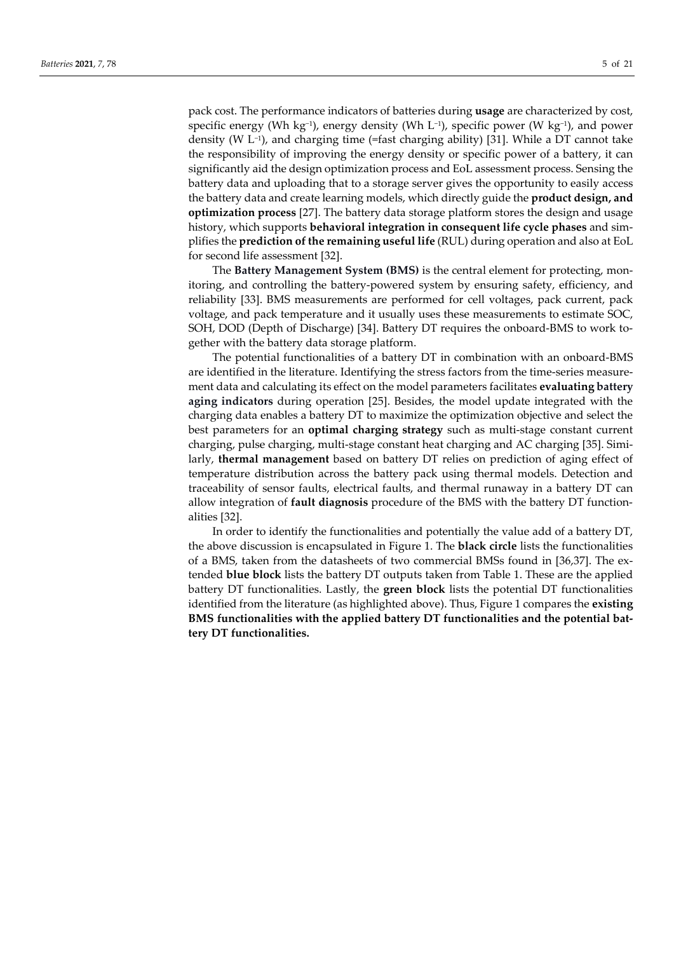pack cost. The performance indicators of batteries during **usage** are characterized by cost, specific energy (Wh kg<sup>-1</sup>), energy density (Wh L<sup>-1</sup>), specific power (W kg<sup>-1</sup>), and power density (W L−1), and charging time (=fast charging ability) [31]. While a DT cannot take the responsibility of improving the energy density or specific power of a battery, it can significantly aid the design optimization process and EoL assessment process. Sensing the battery data and uploading that to a storage server gives the opportunity to easily access the battery data and create learning models, which directly guide the **product design, and optimization process** [27]. The battery data storage platform stores the design and usage history, which supports **behavioral integration in consequent life cycle phases** and simplifies the **prediction of the remaining useful life** (RUL) during operation and also at EoL for second life assessment [32].

The **Battery Management System (BMS)** is the central element for protecting, monitoring, and controlling the battery-powered system by ensuring safety, efficiency, and reliability [33]. BMS measurements are performed for cell voltages, pack current, pack voltage, and pack temperature and it usually uses these measurements to estimate SOC, SOH, DOD (Depth of Discharge) [34]. Battery DT requires the onboard-BMS to work together with the battery data storage platform.

The potential functionalities of a battery DT in combination with an onboard-BMS are identified in the literature. Identifying the stress factors from the time-series measurement data and calculating its effect on the model parameters facilitates **evaluating battery aging indicators** during operation [25]. Besides, the model update integrated with the charging data enables a battery DT to maximize the optimization objective and select the best parameters for an **optimal charging strategy** such as multi-stage constant current charging, pulse charging, multi-stage constant heat charging and AC charging [35]. Similarly, **thermal management** based on battery DT relies on prediction of aging effect of temperature distribution across the battery pack using thermal models. Detection and traceability of sensor faults, electrical faults, and thermal runaway in a battery DT can allow integration of **fault diagnosis** procedure of the BMS with the battery DT functionalities [32].

In order to identify the functionalities and potentially the value add of a battery DT, the above discussion is encapsulated in Figure 1. The **black circle** lists the functionalities of a BMS, taken from the datasheets of two commercial BMSs found in [36,37]. The extended **blue block** lists the battery DT outputs taken from Table 1. These are the applied battery DT functionalities. Lastly, the **green block** lists the potential DT functionalities identified from the literature (as highlighted above). Thus, Figure 1 compares the **existing BMS functionalities with the applied battery DT functionalities and the potential battery DT functionalities.**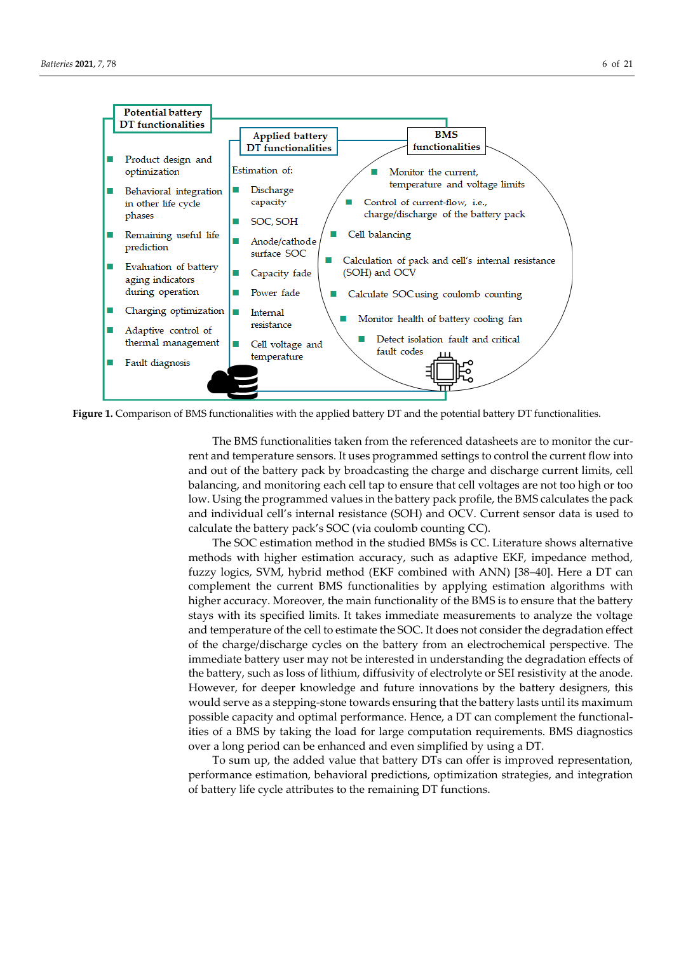

**Figure 1.** Comparison of BMS functionalities with the applied battery DT and the potential battery DT functionalities.

The BMS functionalities taken from the referenced datasheets are to monitor the current and temperature sensors. It uses programmed settings to control the current flow into and out of the battery pack by broadcasting the charge and discharge current limits, cell balancing, and monitoring each cell tap to ensure that cell voltages are not too high or too low. Using the programmed values in the battery pack profile, the BMS calculates the pack and individual cell's internal resistance (SOH) and OCV. Current sensor data is used to calculate the battery pack's SOC (via coulomb counting CC).

The SOC estimation method in the studied BMSs is CC. Literature shows alternative methods with higher estimation accuracy, such as adaptive EKF, impedance method, fuzzy logics, SVM, hybrid method (EKF combined with ANN) [38–40]. Here a DT can complement the current BMS functionalities by applying estimation algorithms with higher accuracy. Moreover, the main functionality of the BMS is to ensure that the battery stays with its specified limits. It takes immediate measurements to analyze the voltage and temperature of the cell to estimate the SOC. It does not consider the degradation effect of the charge/discharge cycles on the battery from an electrochemical perspective. The immediate battery user may not be interested in understanding the degradation effects of the battery, such as loss of lithium, diffusivity of electrolyte or SEI resistivity at the anode. However, for deeper knowledge and future innovations by the battery designers, this would serve as a stepping-stone towards ensuring that the battery lasts until its maximum possible capacity and optimal performance. Hence, a DT can complement the functionalities of a BMS by taking the load for large computation requirements. BMS diagnostics over a long period can be enhanced and even simplified by using a DT.

To sum up, the added value that battery DTs can offer is improved representation, performance estimation, behavioral predictions, optimization strategies, and integration of battery life cycle attributes to the remaining DT functions.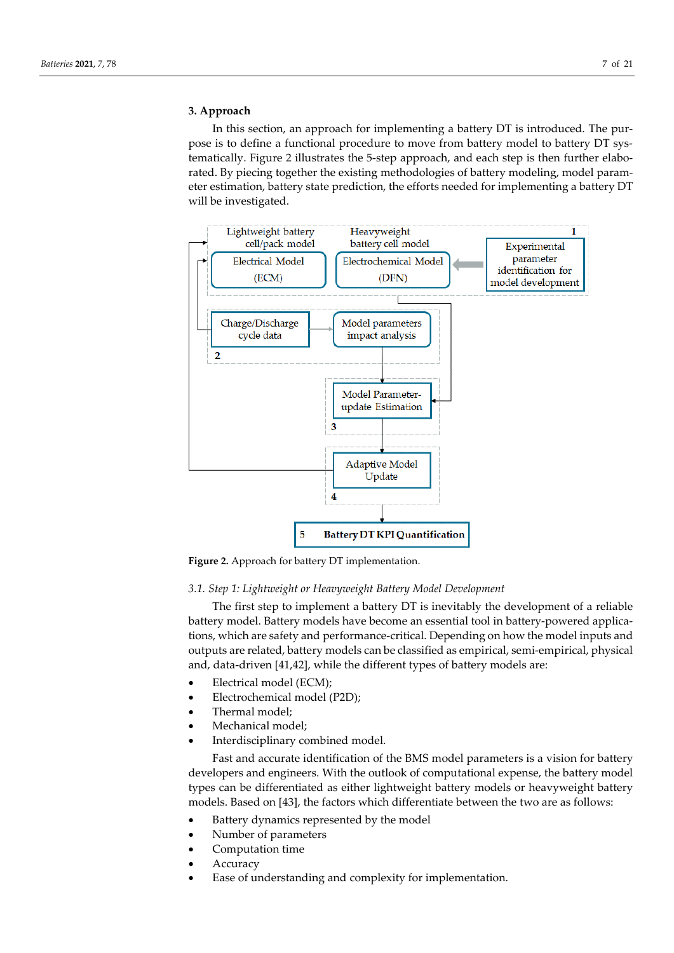## **3. Approach**

In this section, an approach for implementing a battery DT is introduced. The purpose is to define a functional procedure to move from battery model to battery DT systematically. Figure 2 illustrates the 5-step approach, and each step is then further elaborated. By piecing together the existing methodologies of battery modeling, model parameter estimation, battery state prediction, the efforts needed for implementing a battery DT will be investigated.



**Figure 2.** Approach for battery DT implementation.

## *3.1. Step 1: Lightweight or Heavyweight Battery Model Development*

The first step to implement a battery DT is inevitably the development of a reliable battery model. Battery models have become an essential tool in battery-powered applications, which are safety and performance-critical. Depending on how the model inputs and outputs are related, battery models can be classified as empirical, semi-empirical, physical and, data-driven [41,42], while the different types of battery models are:

- Electrical model (ECM);
- Electrochemical model (P2D);
- Thermal model;
- Mechanical model;
- Interdisciplinary combined model.

Fast and accurate identification of the BMS model parameters is a vision for battery developers and engineers. With the outlook of computational expense, the battery model types can be differentiated as either lightweight battery models or heavyweight battery models. Based on [43], the factors which differentiate between the two are as follows:

- Battery dynamics represented by the model
- Number of parameters
- Computation time
- **Accuracy**
- Ease of understanding and complexity for implementation.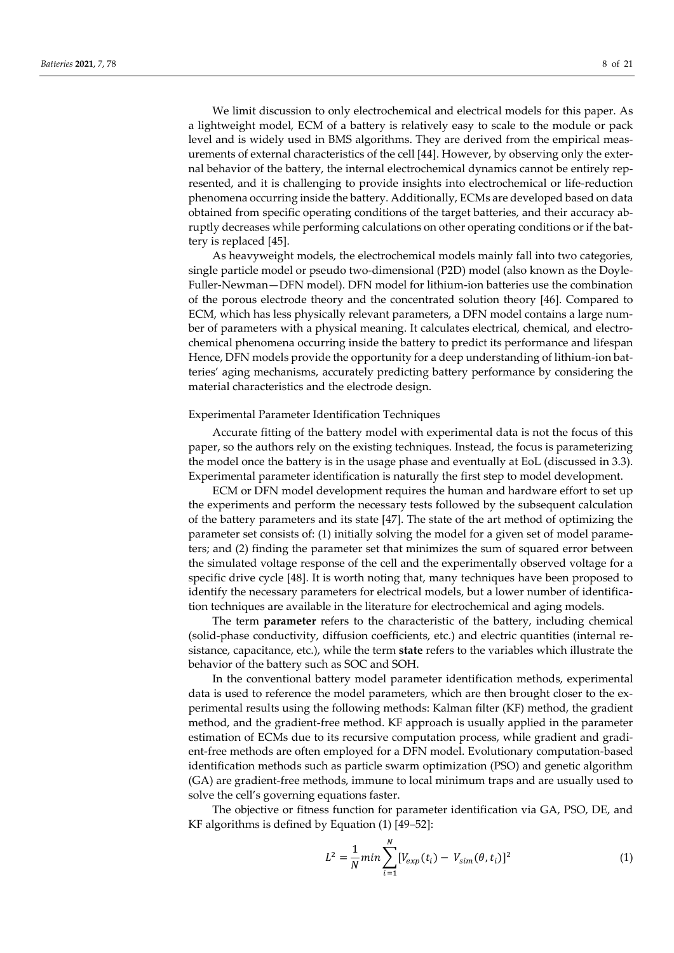We limit discussion to only electrochemical and electrical models for this paper. As a lightweight model, ECM of a battery is relatively easy to scale to the module or pack level and is widely used in BMS algorithms. They are derived from the empirical measurements of external characteristics of the cell [44]. However, by observing only the external behavior of the battery, the internal electrochemical dynamics cannot be entirely represented, and it is challenging to provide insights into electrochemical or life-reduction phenomena occurring inside the battery. Additionally, ECMs are developed based on data obtained from specific operating conditions of the target batteries, and their accuracy abruptly decreases while performing calculations on other operating conditions or if the battery is replaced [45].

As heavyweight models, the electrochemical models mainly fall into two categories, single particle model or pseudo two-dimensional (P2D) model (also known as the Doyle-Fuller-Newman—DFN model). DFN model for lithium-ion batteries use the combination of the porous electrode theory and the concentrated solution theory [46]. Compared to ECM, which has less physically relevant parameters, a DFN model contains a large number of parameters with a physical meaning. It calculates electrical, chemical, and electrochemical phenomena occurring inside the battery to predict its performance and lifespan Hence, DFN models provide the opportunity for a deep understanding of lithium-ion batteries' aging mechanisms, accurately predicting battery performance by considering the material characteristics and the electrode design.

#### Experimental Parameter Identification Techniques

Accurate fitting of the battery model with experimental data is not the focus of this paper, so the authors rely on the existing techniques. Instead, the focus is parameterizing the model once the battery is in the usage phase and eventually at EoL (discussed in 3.3). Experimental parameter identification is naturally the first step to model development.

ECM or DFN model development requires the human and hardware effort to set up the experiments and perform the necessary tests followed by the subsequent calculation of the battery parameters and its state [47]. The state of the art method of optimizing the parameter set consists of: (1) initially solving the model for a given set of model parameters; and (2) finding the parameter set that minimizes the sum of squared error between the simulated voltage response of the cell and the experimentally observed voltage for a specific drive cycle [48]. It is worth noting that, many techniques have been proposed to identify the necessary parameters for electrical models, but a lower number of identification techniques are available in the literature for electrochemical and aging models.

The term **parameter** refers to the characteristic of the battery, including chemical (solid-phase conductivity, diffusion coefficients, etc.) and electric quantities (internal resistance, capacitance, etc.), while the term **state** refers to the variables which illustrate the behavior of the battery such as SOC and SOH.

In the conventional battery model parameter identification methods, experimental data is used to reference the model parameters, which are then brought closer to the experimental results using the following methods: Kalman filter (KF) method, the gradient method, and the gradient-free method. KF approach is usually applied in the parameter estimation of ECMs due to its recursive computation process, while gradient and gradient-free methods are often employed for a DFN model. Evolutionary computation-based identification methods such as particle swarm optimization (PSO) and genetic algorithm (GA) are gradient-free methods, immune to local minimum traps and are usually used to solve the cell's governing equations faster.

The objective or fitness function for parameter identification via GA, PSO, DE, and KF algorithms is defined by Equation (1) [49–52]:

$$
L^{2} = \frac{1}{N} \min \sum_{i=1}^{N} [V_{exp}(t_{i}) - V_{sim}(\theta, t_{i})]^{2}
$$
 (1)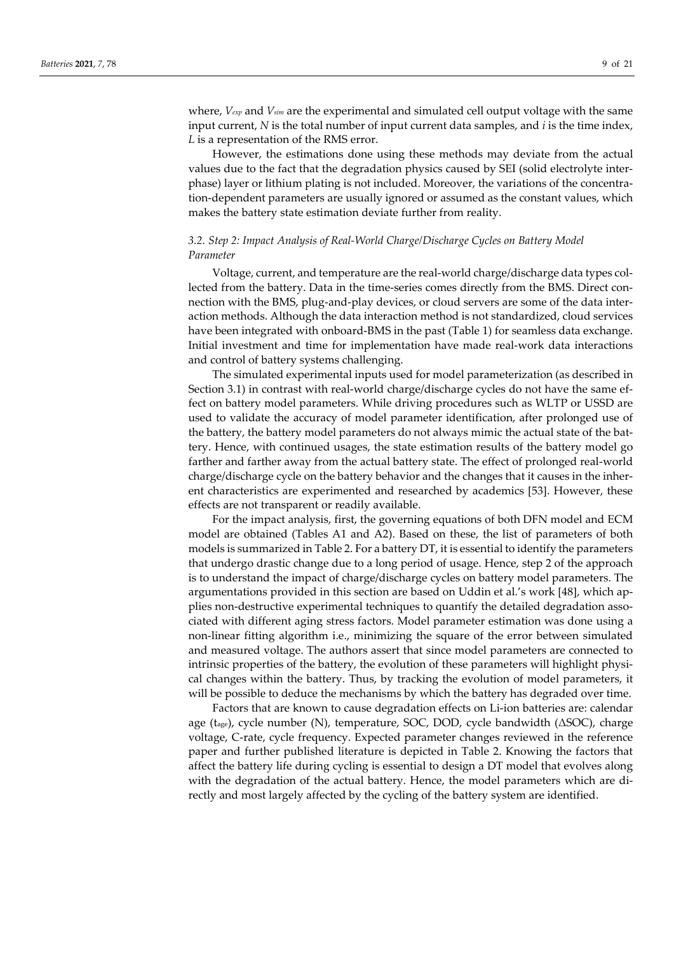where, *Vexp* and *Vsim* are the experimental and simulated cell output voltage with the same input current, *N* is the total number of input current data samples, and *i* is the time index, *L* is a representation of the RMS error.

However, the estimations done using these methods may deviate from the actual values due to the fact that the degradation physics caused by SEI (solid electrolyte interphase) layer or lithium plating is not included. Moreover, the variations of the concentration-dependent parameters are usually ignored or assumed as the constant values, which makes the battery state estimation deviate further from reality.

# *3.2. Step 2: Impact Analysis of Real-World Charge/Discharge Cycles on Battery Model Parameter*

Voltage, current, and temperature are the real-world charge/discharge data types collected from the battery. Data in the time-series comes directly from the BMS. Direct connection with the BMS, plug-and-play devices, or cloud servers are some of the data interaction methods. Although the data interaction method is not standardized, cloud services have been integrated with onboard-BMS in the past (Table 1) for seamless data exchange. Initial investment and time for implementation have made real-work data interactions and control of battery systems challenging.

The simulated experimental inputs used for model parameterization (as described in Section 3.1) in contrast with real-world charge/discharge cycles do not have the same effect on battery model parameters. While driving procedures such as WLTP or USSD are used to validate the accuracy of model parameter identification, after prolonged use of the battery, the battery model parameters do not always mimic the actual state of the battery. Hence, with continued usages, the state estimation results of the battery model go farther and farther away from the actual battery state. The effect of prolonged real-world charge/discharge cycle on the battery behavior and the changes that it causes in the inherent characteristics are experimented and researched by academics [53]. However, these effects are not transparent or readily available.

For the impact analysis, first, the governing equations of both DFN model and ECM model are obtained (Tables A1 and A2). Based on these, the list of parameters of both models is summarized in Table 2. For a battery DT, it is essential to identify the parameters that undergo drastic change due to a long period of usage. Hence, step 2 of the approach is to understand the impact of charge/discharge cycles on battery model parameters. The argumentations provided in this section are based on Uddin et al.'s work [48], which applies non-destructive experimental techniques to quantify the detailed degradation associated with different aging stress factors. Model parameter estimation was done using a non-linear fitting algorithm i.e., minimizing the square of the error between simulated and measured voltage. The authors assert that since model parameters are connected to intrinsic properties of the battery, the evolution of these parameters will highlight physical changes within the battery. Thus, by tracking the evolution of model parameters, it will be possible to deduce the mechanisms by which the battery has degraded over time.

Factors that are known to cause degradation effects on Li-ion batteries are: calendar age (tage), cycle number (N), temperature, SOC, DOD, cycle bandwidth (ΔSOC), charge voltage, C-rate, cycle frequency. Expected parameter changes reviewed in the reference paper and further published literature is depicted in Table 2. Knowing the factors that affect the battery life during cycling is essential to design a DT model that evolves along with the degradation of the actual battery. Hence, the model parameters which are directly and most largely affected by the cycling of the battery system are identified.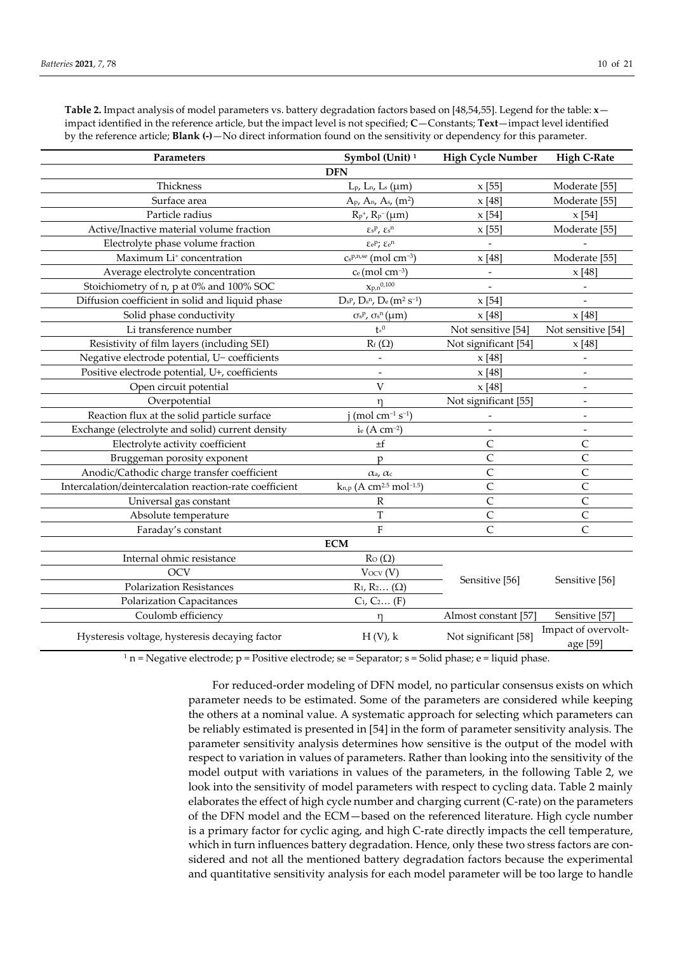**Table 2.** Impact analysis of model parameters vs. battery degradation factors based on [48,54,55]. Legend for the table: **x** impact identified in the reference article, but the impact level is not specified; **C**—Constants; **Text**—impact level identified by the reference article; **Blank (-)**—No direct information found on the sensitivity or dependency for this parameter.

| Parameters                                              | Symbol (Unit) <sup>1</sup>                           | <b>High Cycle Number</b>         | <b>High C-Rate</b>              |
|---------------------------------------------------------|------------------------------------------------------|----------------------------------|---------------------------------|
|                                                         | <b>DFN</b>                                           |                                  |                                 |
| Thickness                                               | $L_{p}$ , $L_{n}$ , $L_{s}$ ( $\mu$ m)               | x [55]                           | Moderate [55]                   |
| Surface area                                            | $A_{P}$ , $A_{n}$ , $A_{s}$ , $(m^{2})$              | x[48]                            | Moderate [55]                   |
| Particle radius                                         | $R_{p}^{+}$ , $R_{p}^{-}(\mu m)$                     | x[54]                            | x[54]                           |
| Active/Inactive material volume fraction                | $\epsilon_{\rm s}$ p, $\epsilon_{\rm s}$ n           | x[55]                            | Moderate <sup>[55]</sup>        |
| Electrolyte phase volume fraction                       | $EeP$ ; $Ee^n$                                       |                                  |                                 |
| Maximum Li <sup>+</sup> concentration                   | $Cs^{p,n,se}$ (mol cm <sup>-3</sup> )                | x[48]                            | Moderate [55]                   |
| Average electrolyte concentration                       | Ce (mol cm <sup>-3</sup> )                           |                                  | $x$ [48]                        |
| Stoichiometry of n, p at 0% and 100% SOC                | $x_{p,n}^{0,100}$                                    |                                  |                                 |
| Diffusion coefficient in solid and liquid phase         | $D_sP$ , $D_sP$ , $D_e$ $(m^2 s^{-1})$               | x[54]                            |                                 |
| Solid phase conductivity                                | $\sigma s^p$ , $\sigma s^n$ ( $\mu$ m)               | x[48]                            | x[48]                           |
| Li transference number                                  | $\mathfrak{t}^{_{+0}}$                               | Not sensitive [54]               | Not sensitive [54]              |
| Resistivity of film layers (including SEI)              | $R_f(\Omega)$                                        | Not significant [54]             | x[48]                           |
| Negative electrode potential, U- coefficients           |                                                      | x[48]                            | $\frac{1}{2}$                   |
| Positive electrode potential, U+, coefficients          |                                                      | x[48]                            |                                 |
| Open circuit potential                                  | V                                                    | x[48]                            |                                 |
| Overpotential                                           | $\eta$                                               | Not significant [55]             |                                 |
| Reaction flux at the solid particle surface             | $(mod cm^{-1} s^{-1})$                               |                                  |                                 |
| Exchange (electrolyte and solid) current density        | ie (A cm $^{-2}$ )                                   |                                  |                                 |
| Electrolyte activity coefficient                        | $\pm f$                                              | $\overline{C}$                   | $\mathsf{C}$                    |
| Bruggeman porosity exponent                             | p                                                    | $\overline{C}$                   | $\overline{C}$                  |
| Anodic/Cathodic charge transfer coefficient             | $\alpha$ <sub>a</sub> , $\alpha$ <sub>c</sub>        | $\mathsf{C}$                     | $\mathsf{C}$                    |
| Intercalation/deintercalation reaction-rate coefficient | $k_{n,p}$ (A cm <sup>2.5</sup> mol <sup>-1.5</sup> ) | $\mathsf{C}$                     | $\overline{C}$                  |
| Universal gas constant                                  | $\mathbb{R}$                                         | $\mathsf{C}$                     | $\mathsf{C}$                    |
| Absolute temperature                                    | $\overline{T}$                                       | $\mathsf{C}$                     | $\mathsf{C}$                    |
| Faraday's constant                                      | F                                                    | $\mathsf{C}$                     | $\mathcal{C}$                   |
|                                                         | <b>ECM</b>                                           |                                  |                                 |
| Internal ohmic resistance                               | $Ro(\Omega)$                                         | Sensitive [56]<br>Sensitive [56] |                                 |
| <b>OCV</b>                                              | Vocv(V)                                              |                                  |                                 |
| <b>Polarization Resistances</b>                         | $R_1, R_2$ ( $\Omega$ )                              |                                  |                                 |
| <b>Polarization Capacitances</b>                        | $C_1, C_2 (F)$                                       |                                  |                                 |
| Coulomb efficiency                                      | $\eta$                                               | Almost constant [57]             | Sensitive [57]                  |
| Hysteresis voltage, hysteresis decaying factor          | $H(V)$ , k                                           | Not significant [58]             | Impact of overvolt-<br>age [59] |

 $1$  n = Negative electrode; p = Positive electrode; se = Separator; s = Solid phase; e = liquid phase.

For reduced-order modeling of DFN model, no particular consensus exists on which parameter needs to be estimated. Some of the parameters are considered while keeping the others at a nominal value. A systematic approach for selecting which parameters can be reliably estimated is presented in [54] in the form of parameter sensitivity analysis. The parameter sensitivity analysis determines how sensitive is the output of the model with respect to variation in values of parameters. Rather than looking into the sensitivity of the model output with variations in values of the parameters, in the following Table 2, we look into the sensitivity of model parameters with respect to cycling data. Table 2 mainly elaborates the effect of high cycle number and charging current (C-rate) on the parameters of the DFN model and the ECM—based on the referenced literature. High cycle number is a primary factor for cyclic aging, and high C-rate directly impacts the cell temperature, which in turn influences battery degradation. Hence, only these two stress factors are considered and not all the mentioned battery degradation factors because the experimental and quantitative sensitivity analysis for each model parameter will be too large to handle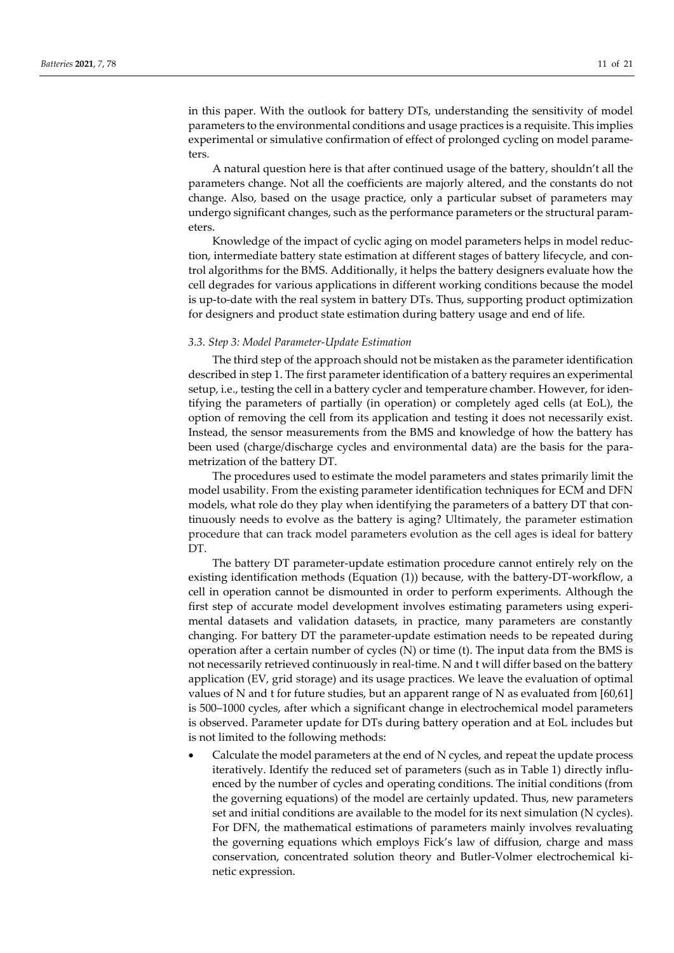in this paper. With the outlook for battery DTs, understanding the sensitivity of model parameters to the environmental conditions and usage practices is a requisite. This implies experimental or simulative confirmation of effect of prolonged cycling on model parameters.

A natural question here is that after continued usage of the battery, shouldn't all the parameters change. Not all the coefficients are majorly altered, and the constants do not change. Also, based on the usage practice, only a particular subset of parameters may undergo significant changes, such as the performance parameters or the structural parameters.

Knowledge of the impact of cyclic aging on model parameters helps in model reduction, intermediate battery state estimation at different stages of battery lifecycle, and control algorithms for the BMS. Additionally, it helps the battery designers evaluate how the cell degrades for various applications in different working conditions because the model is up-to-date with the real system in battery DTs. Thus, supporting product optimization for designers and product state estimation during battery usage and end of life.

#### *3.3. Step 3: Model Parameter-Update Estimation*

The third step of the approach should not be mistaken as the parameter identification described in step 1. The first parameter identification of a battery requires an experimental setup, i.e., testing the cell in a battery cycler and temperature chamber. However, for identifying the parameters of partially (in operation) or completely aged cells (at EoL), the option of removing the cell from its application and testing it does not necessarily exist. Instead, the sensor measurements from the BMS and knowledge of how the battery has been used (charge/discharge cycles and environmental data) are the basis for the parametrization of the battery DT.

The procedures used to estimate the model parameters and states primarily limit the model usability. From the existing parameter identification techniques for ECM and DFN models, what role do they play when identifying the parameters of a battery DT that continuously needs to evolve as the battery is aging? Ultimately, the parameter estimation procedure that can track model parameters evolution as the cell ages is ideal for battery DT.

The battery DT parameter-update estimation procedure cannot entirely rely on the existing identification methods (Equation (1)) because, with the battery-DT-workflow, a cell in operation cannot be dismounted in order to perform experiments. Although the first step of accurate model development involves estimating parameters using experimental datasets and validation datasets, in practice, many parameters are constantly changing. For battery DT the parameter-update estimation needs to be repeated during operation after a certain number of cycles  $(N)$  or time  $(t)$ . The input data from the BMS is not necessarily retrieved continuously in real-time. N and t will differ based on the battery application (EV, grid storage) and its usage practices. We leave the evaluation of optimal values of N and t for future studies, but an apparent range of N as evaluated from [60,61] is 500–1000 cycles, after which a significant change in electrochemical model parameters is observed. Parameter update for DTs during battery operation and at EoL includes but is not limited to the following methods:

• Calculate the model parameters at the end of N cycles, and repeat the update process iteratively. Identify the reduced set of parameters (such as in Table 1) directly influenced by the number of cycles and operating conditions. The initial conditions (from the governing equations) of the model are certainly updated. Thus, new parameters set and initial conditions are available to the model for its next simulation (N cycles). For DFN, the mathematical estimations of parameters mainly involves revaluating the governing equations which employs Fick's law of diffusion, charge and mass conservation, concentrated solution theory and Butler-Volmer electrochemical kinetic expression.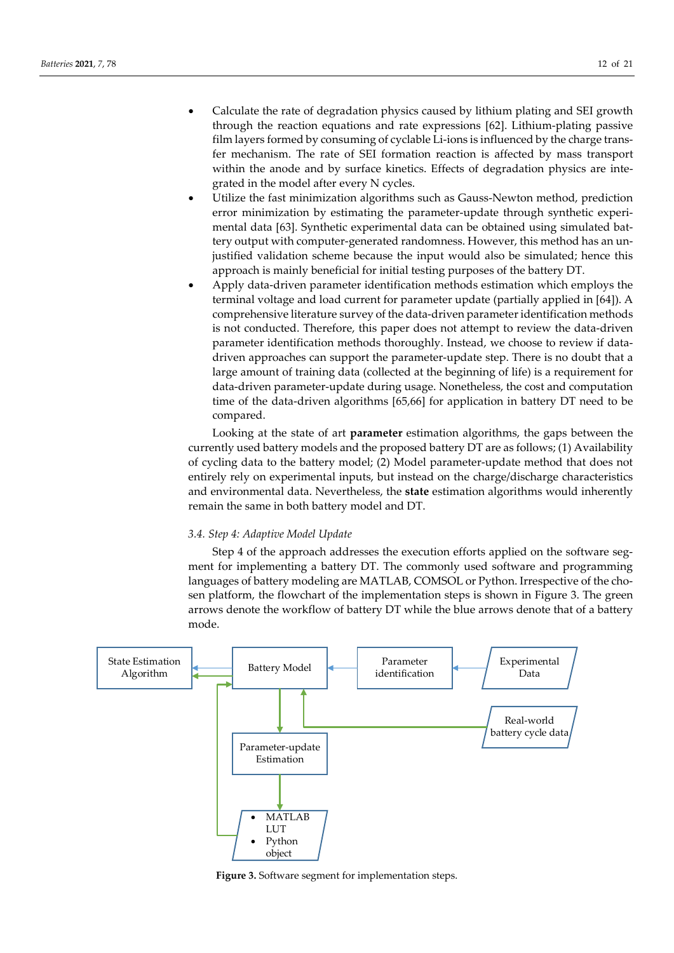- Calculate the rate of degradation physics caused by lithium plating and SEI growth through the reaction equations and rate expressions [62]. Lithium-plating passive film layers formed by consuming of cyclable Li-ions is influenced by the charge transfer mechanism. The rate of SEI formation reaction is affected by mass transport within the anode and by surface kinetics. Effects of degradation physics are integrated in the model after every N cycles.
- Utilize the fast minimization algorithms such as Gauss-Newton method, prediction error minimization by estimating the parameter-update through synthetic experimental data [63]. Synthetic experimental data can be obtained using simulated battery output with computer-generated randomness. However, this method has an unjustified validation scheme because the input would also be simulated; hence this approach is mainly beneficial for initial testing purposes of the battery DT.
- Apply data-driven parameter identification methods estimation which employs the terminal voltage and load current for parameter update (partially applied in [64]). A comprehensive literature survey of the data-driven parameter identification methods is not conducted. Therefore, this paper does not attempt to review the data-driven parameter identification methods thoroughly. Instead, we choose to review if datadriven approaches can support the parameter-update step. There is no doubt that a large amount of training data (collected at the beginning of life) is a requirement for data-driven parameter-update during usage. Nonetheless, the cost and computation time of the data-driven algorithms [65,66] for application in battery DT need to be compared.

Looking at the state of art **parameter** estimation algorithms, the gaps between the currently used battery models and the proposed battery DT are as follows; (1) Availability of cycling data to the battery model; (2) Model parameter-update method that does not entirely rely on experimental inputs, but instead on the charge/discharge characteristics and environmental data. Nevertheless, the **state** estimation algorithms would inherently remain the same in both battery model and DT.

### *3.4. Step 4: Adaptive Model Update*

Step 4 of the approach addresses the execution efforts applied on the software segment for implementing a battery DT. The commonly used software and programming languages of battery modeling are MATLAB, COMSOL or Python. Irrespective of the chosen platform, the flowchart of the implementation steps is shown in Figure 3. The green arrows denote the workflow of battery DT while the blue arrows denote that of a battery mode.



**Figure 3.** Software segment for implementation steps.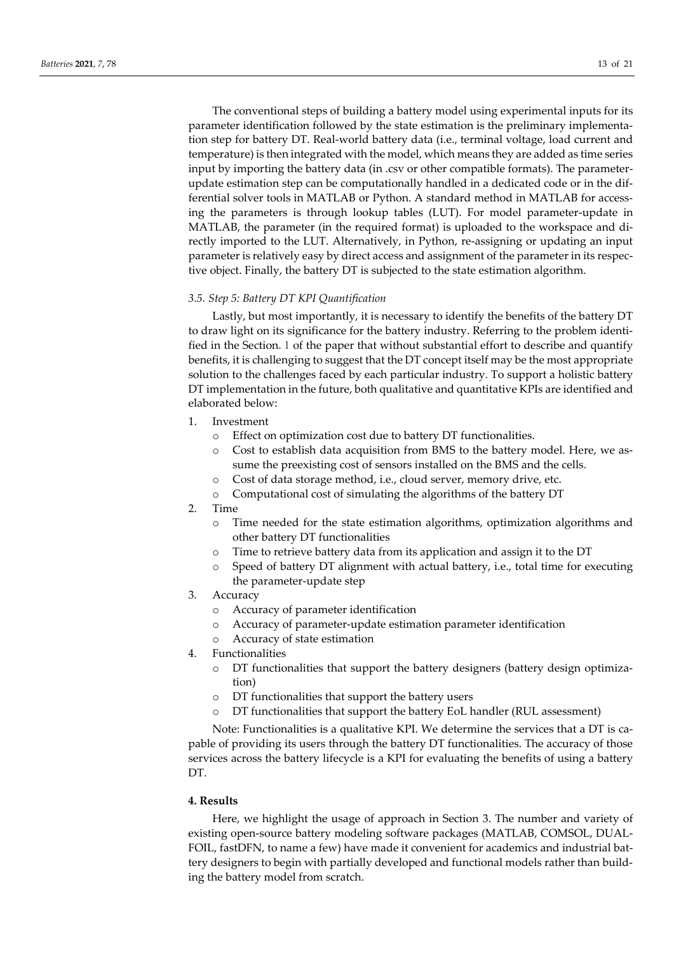The conventional steps of building a battery model using experimental inputs for its parameter identification followed by the state estimation is the preliminary implementation step for battery DT. Real-world battery data (i.e., terminal voltage, load current and temperature) is then integrated with the model, which means they are added as time series input by importing the battery data (in .csv or other compatible formats). The parameterupdate estimation step can be computationally handled in a dedicated code or in the differential solver tools in MATLAB or Python. A standard method in MATLAB for accessing the parameters is through lookup tables (LUT). For model parameter-update in MATLAB, the parameter (in the required format) is uploaded to the workspace and directly imported to the LUT. Alternatively, in Python, re-assigning or updating an input parameter is relatively easy by direct access and assignment of the parameter in its respective object. Finally, the battery DT is subjected to the state estimation algorithm.

### *3.5. Step 5: Battery DT KPI Quantification*

Lastly, but most importantly, it is necessary to identify the benefits of the battery DT to draw light on its significance for the battery industry. Referring to the problem identified in the Section.1 of the paper that without substantial effort to describe and quantify benefits, it is challenging to suggest that the DT concept itself may be the most appropriate solution to the challenges faced by each particular industry. To support a holistic battery DT implementation in the future, both qualitative and quantitative KPIs are identified and elaborated below:

- 1. Investment
	- o Effect on optimization cost due to battery DT functionalities.
	- o Cost to establish data acquisition from BMS to the battery model. Here, we assume the preexisting cost of sensors installed on the BMS and the cells.
	- o Cost of data storage method, i.e., cloud server, memory drive, etc.
	- o Computational cost of simulating the algorithms of the battery DT
- 2. Time
	- o Time needed for the state estimation algorithms, optimization algorithms and other battery DT functionalities
	- o Time to retrieve battery data from its application and assign it to the DT
	- o Speed of battery DT alignment with actual battery, i.e., total time for executing the parameter-update step
- 3. Accuracy
	- o Accuracy of parameter identification
	- o Accuracy of parameter-update estimation parameter identification
	- o Accuracy of state estimation
- 4. Functionalities
	- o DT functionalities that support the battery designers (battery design optimization)
	- o DT functionalities that support the battery users
	- o DT functionalities that support the battery EoL handler (RUL assessment)

Note: Functionalities is a qualitative KPI. We determine the services that a DT is capable of providing its users through the battery DT functionalities. The accuracy of those services across the battery lifecycle is a KPI for evaluating the benefits of using a battery DT.

## **4. Results**

Here, we highlight the usage of approach in Section 3. The number and variety of existing open-source battery modeling software packages (MATLAB, COMSOL, DUAL-FOIL, fastDFN, to name a few) have made it convenient for academics and industrial battery designers to begin with partially developed and functional models rather than building the battery model from scratch.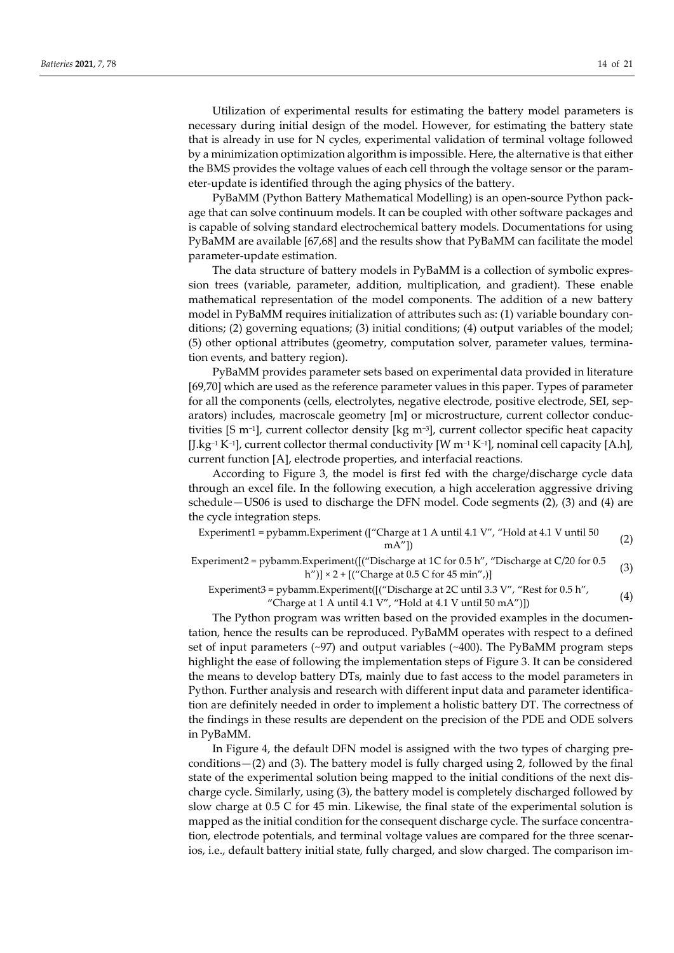Utilization of experimental results for estimating the battery model parameters is necessary during initial design of the model. However, for estimating the battery state that is already in use for N cycles, experimental validation of terminal voltage followed by a minimization optimization algorithm is impossible. Here, the alternative is that either the BMS provides the voltage values of each cell through the voltage sensor or the parameter-update is identified through the aging physics of the battery.

PyBaMM (Python Battery Mathematical Modelling) is an open-source Python package that can solve continuum models. It can be coupled with other software packages and is capable of solving standard electrochemical battery models. Documentations for using PyBaMM are available [67,68] and the results show that PyBaMM can facilitate the model parameter-update estimation.

The data structure of battery models in PyBaMM is a collection of symbolic expression trees (variable, parameter, addition, multiplication, and gradient). These enable mathematical representation of the model components. The addition of a new battery model in PyBaMM requires initialization of attributes such as: (1) variable boundary conditions; (2) governing equations; (3) initial conditions; (4) output variables of the model; (5) other optional attributes (geometry, computation solver, parameter values, termination events, and battery region).

PyBaMM provides parameter sets based on experimental data provided in literature [69,70] which are used as the reference parameter values in this paper. Types of parameter for all the components (cells, electrolytes, negative electrode, positive electrode, SEI, separators) includes, macroscale geometry [m] or microstructure, current collector conductivities [S m−1], current collector density [kg m−3], current collector specific heat capacity [J.kg−1 K−1], current collector thermal conductivity [W m−1 K−1], nominal cell capacity [A.h], current function [A], electrode properties, and interfacial reactions.

According to Figure 3, the model is first fed with the charge/discharge cycle data through an excel file. In the following execution, a high acceleration aggressive driving schedule—US06 is used to discharge the DFN model. Code segments (2), (3) and (4) are the cycle integration steps.

Experiment1 = pybamm.Experiment (["Charge at 1 A until 4.1 V", "Hold at 4.1 V until 50 mA"]) (2)

Experiment2 = pybamm.Experiment([("Discharge at 1C for 0.5 h", "Discharge at C/20 for 0.5  $\text{Exprimt (}$   $\text{Assume} \text{ at } 1 \text{ C} \text{ for } 0.5 \text{ ft}$ ,  $\text{Deschange} \text{ at } 0.5 \text{ ft}$  (3)<br>h")]  $\times 2 + \text{[(}^{\prime} \text{Change at } 0.5 \text{ C} \text{ for } 45 \text{ min}^{\prime\prime}\text{)}$ 

# Experiment3 = pybamm.Experiment([("Discharge at 2C until 3.3 V", "Rest for 0.5 h", "Charge at 1 A until 4.1 V", "Hold at 4.1 V until  $50 \text{ mA}$ ")]) (4)

The Python program was written based on the provided examples in the documentation, hence the results can be reproduced. PyBaMM operates with respect to a defined set of input parameters (~97) and output variables (~400). The PyBaMM program steps highlight the ease of following the implementation steps of Figure 3. It can be considered the means to develop battery DTs, mainly due to fast access to the model parameters in Python. Further analysis and research with different input data and parameter identification are definitely needed in order to implement a holistic battery DT. The correctness of the findings in these results are dependent on the precision of the PDE and ODE solvers in PyBaMM.

In Figure 4, the default DFN model is assigned with the two types of charging preconditions—(2) and (3). The battery model is fully charged using 2, followed by the final state of the experimental solution being mapped to the initial conditions of the next discharge cycle. Similarly, using (3), the battery model is completely discharged followed by slow charge at 0.5 C for 45 min. Likewise, the final state of the experimental solution is mapped as the initial condition for the consequent discharge cycle. The surface concentration, electrode potentials, and terminal voltage values are compared for the three scenarios, i.e., default battery initial state, fully charged, and slow charged. The comparison im-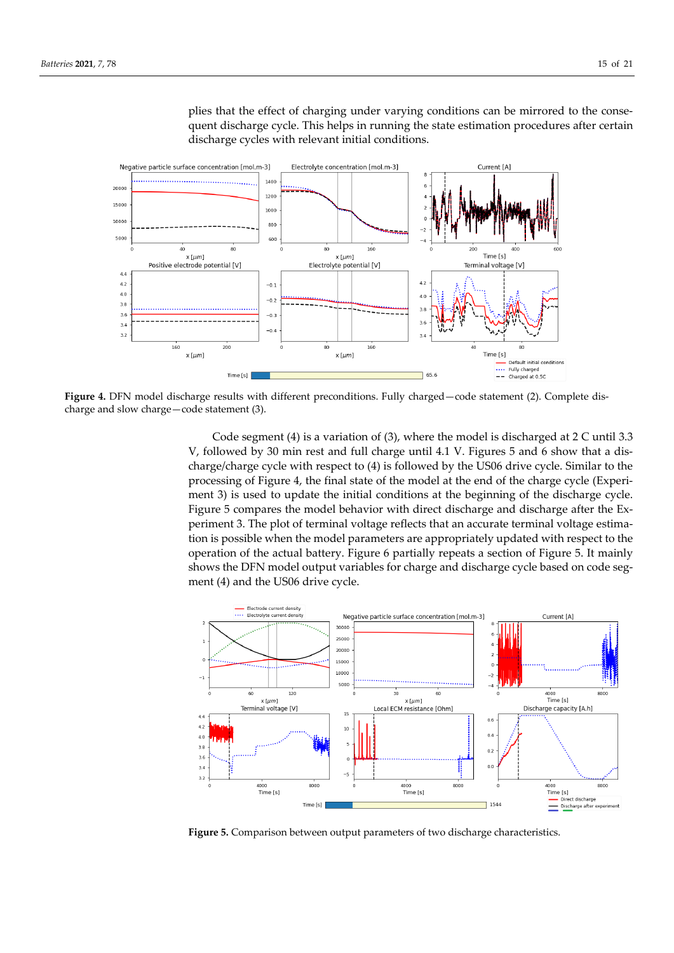

plies that the effect of charging under varying conditions can be mirrored to the consequent discharge cycle. This helps in running the state estimation procedures after certain discharge cycles with relevant initial conditions.

**Figure 4.** DFN model discharge results with different preconditions. Fully charged—code statement (2). Complete discharge and slow charge—code statement (3).

Code segment (4) is a variation of (3), where the model is discharged at 2 C until 3.3 V, followed by 30 min rest and full charge until 4.1 V. Figures 5 and 6 show that a discharge/charge cycle with respect to (4) is followed by the US06 drive cycle. Similar to the processing of Figure 4, the final state of the model at the end of the charge cycle (Experiment 3) is used to update the initial conditions at the beginning of the discharge cycle. Figure 5 compares the model behavior with direct discharge and discharge after the Experiment 3. The plot of terminal voltage reflects that an accurate terminal voltage estimation is possible when the model parameters are appropriately updated with respect to the operation of the actual battery. Figure 6 partially repeats a section of Figure 5. It mainly shows the DFN model output variables for charge and discharge cycle based on code segment (4) and the US06 drive cycle.



**Figure 5.** Comparison between output parameters of two discharge characteristics.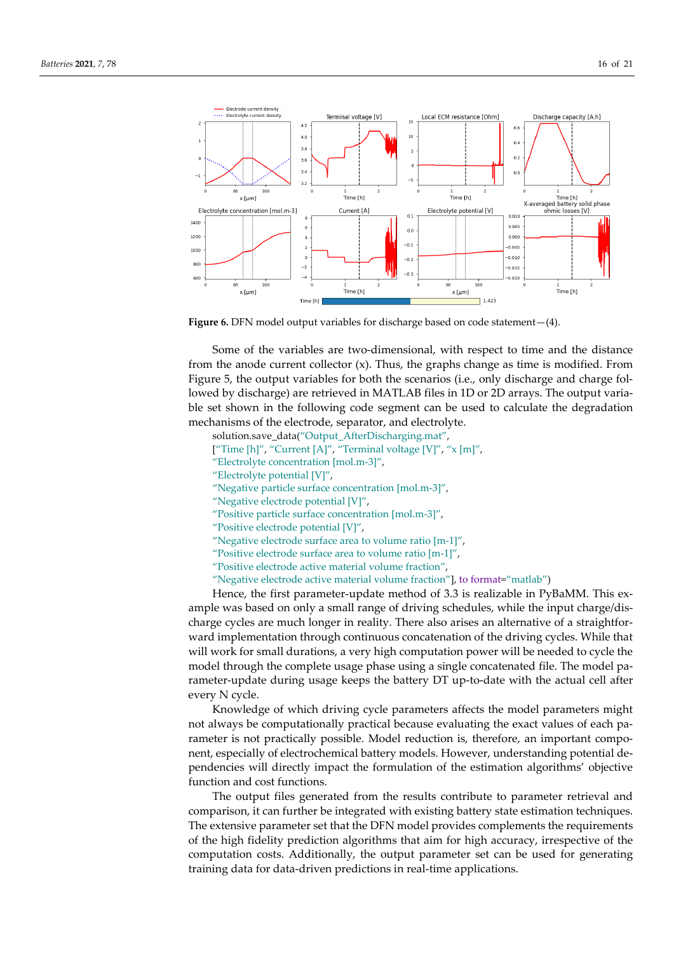

Figure 6. DFN model output variables for discharge based on code statement - (4).

Some of the variables are two-dimensional, with respect to time and the distance from the anode current collector  $(x)$ . Thus, the graphs change as time is modified. From Figure 5, the output variables for both the scenarios (i.e., only discharge and charge followed by discharge) are retrieved in MATLAB files in 1D or 2D arrays. The output variable set shown in the following code segment can be used to calculate the degradation mechanisms of the electrode, separator, and electrolyte.

solution.save\_data("Output\_AfterDischarging.mat", ["Time [h]", "Current [A]", "Terminal voltage [V]", "x [m]",

- "Electrolyte concentration [mol.m-3]",
- "Electrolyte potential [V]",
- "Negative particle surface concentration [mol.m-3]",
- 
- "Negative electrode potential [V]",
- "Positive particle surface concentration [mol.m-3]",
- "Positive electrode potential [V]",
- "Negative electrode surface area to volume ratio [m-1]",
- "Positive electrode surface area to volume ratio [m-1]",
- "Positive electrode active material volume fraction",
- "Negative electrode active material volume fraction"], to format="matlab")

Hence, the first parameter-update method of 3.3 is realizable in PyBaMM. This example was based on only a small range of driving schedules, while the input charge/discharge cycles are much longer in reality. There also arises an alternative of a straightforward implementation through continuous concatenation of the driving cycles. While that will work for small durations, a very high computation power will be needed to cycle the model through the complete usage phase using a single concatenated file. The model parameter-update during usage keeps the battery DT up-to-date with the actual cell after every N cycle.

Knowledge of which driving cycle parameters affects the model parameters might not always be computationally practical because evaluating the exact values of each parameter is not practically possible. Model reduction is, therefore, an important component, especially of electrochemical battery models. However, understanding potential dependencies will directly impact the formulation of the estimation algorithms' objective function and cost functions.

The output files generated from the results contribute to parameter retrieval and comparison, it can further be integrated with existing battery state estimation techniques. The extensive parameter set that the DFN model provides complements the requirements of the high fidelity prediction algorithms that aim for high accuracy, irrespective of the computation costs. Additionally, the output parameter set can be used for generating training data for data-driven predictions in real-time applications.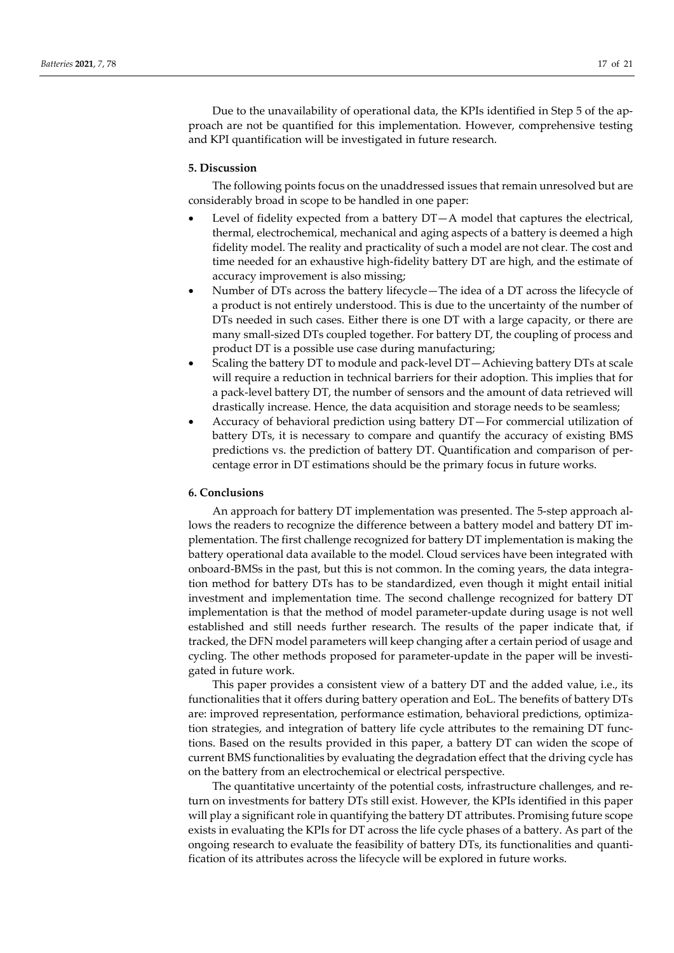Due to the unavailability of operational data, the KPIs identified in Step 5 of the approach are not be quantified for this implementation. However, comprehensive testing and KPI quantification will be investigated in future research.

#### **5. Discussion**

The following points focus on the unaddressed issues that remain unresolved but are considerably broad in scope to be handled in one paper:

- Level of fidelity expected from a battery  $DT-A$  model that captures the electrical, thermal, electrochemical, mechanical and aging aspects of a battery is deemed a high fidelity model. The reality and practicality of such a model are not clear. The cost and time needed for an exhaustive high-fidelity battery DT are high, and the estimate of accuracy improvement is also missing;
- Number of DTs across the battery lifecycle—The idea of a DT across the lifecycle of a product is not entirely understood. This is due to the uncertainty of the number of DTs needed in such cases. Either there is one DT with a large capacity, or there are many small-sized DTs coupled together. For battery DT, the coupling of process and product DT is a possible use case during manufacturing;
- Scaling the battery DT to module and pack-level DT—Achieving battery DTs at scale will require a reduction in technical barriers for their adoption. This implies that for a pack-level battery DT, the number of sensors and the amount of data retrieved will drastically increase. Hence, the data acquisition and storage needs to be seamless;
- Accuracy of behavioral prediction using battery DT—For commercial utilization of battery DTs, it is necessary to compare and quantify the accuracy of existing BMS predictions vs. the prediction of battery DT. Quantification and comparison of percentage error in DT estimations should be the primary focus in future works.

## **6. Conclusions**

An approach for battery DT implementation was presented. The 5-step approach allows the readers to recognize the difference between a battery model and battery DT implementation. The first challenge recognized for battery DT implementation is making the battery operational data available to the model. Cloud services have been integrated with onboard-BMSs in the past, but this is not common. In the coming years, the data integration method for battery DTs has to be standardized, even though it might entail initial investment and implementation time. The second challenge recognized for battery DT implementation is that the method of model parameter-update during usage is not well established and still needs further research. The results of the paper indicate that, if tracked, the DFN model parameters will keep changing after a certain period of usage and cycling. The other methods proposed for parameter-update in the paper will be investigated in future work.

This paper provides a consistent view of a battery DT and the added value, i.e., its functionalities that it offers during battery operation and EoL. The benefits of battery DTs are: improved representation, performance estimation, behavioral predictions, optimization strategies, and integration of battery life cycle attributes to the remaining DT functions. Based on the results provided in this paper, a battery DT can widen the scope of current BMS functionalities by evaluating the degradation effect that the driving cycle has on the battery from an electrochemical or electrical perspective.

The quantitative uncertainty of the potential costs, infrastructure challenges, and return on investments for battery DTs still exist. However, the KPIs identified in this paper will play a significant role in quantifying the battery DT attributes. Promising future scope exists in evaluating the KPIs for DT across the life cycle phases of a battery. As part of the ongoing research to evaluate the feasibility of battery DTs, its functionalities and quantification of its attributes across the lifecycle will be explored in future works.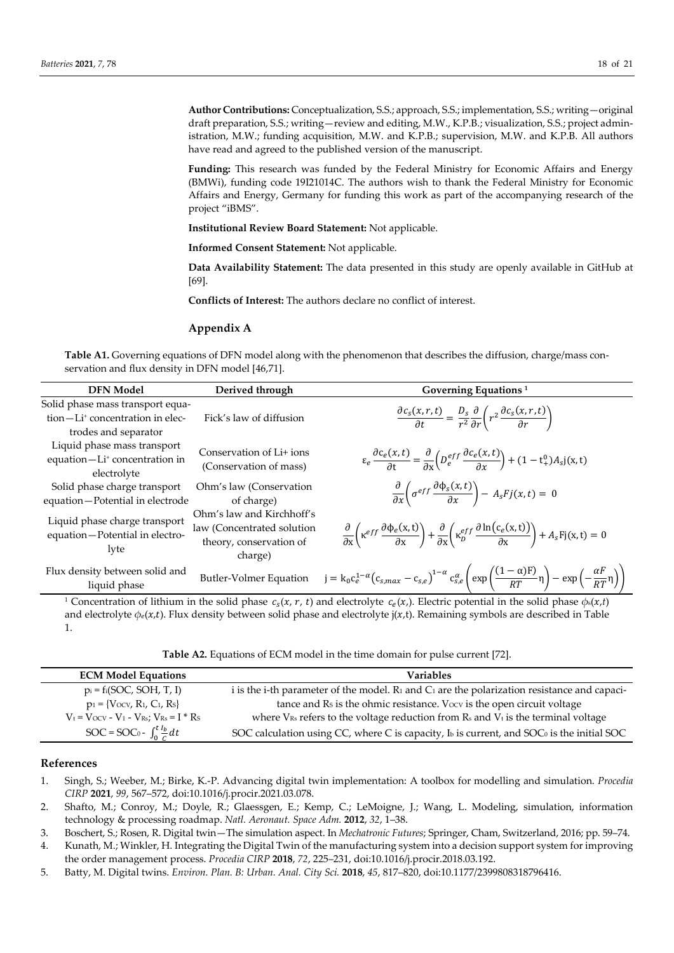**Author Contributions:** Conceptualization, S.S.; approach, S.S.; implementation, S.S.; writing—original draft preparation, S.S.; writing—review and editing, M.W., K.P.B.; visualization, S.S.; project administration, M.W.; funding acquisition, M.W. and K.P.B.; supervision, M.W. and K.P.B. All authors have read and agreed to the published version of the manuscript.

**Funding:** This research was funded by the Federal Ministry for Economic Affairs and Energy (BMWi), funding code 19I21014C. The authors wish to thank the Federal Ministry for Economic Affairs and Energy, Germany for funding this work as part of the accompanying research of the project "iBMS".

**Institutional Review Board Statement:** Not applicable.

**Informed Consent Statement:** Not applicable.

**Data Availability Statement:** The data presented in this study are openly available in GitHub at [69].

**Conflicts of Interest:** The authors declare no conflict of interest.

#### **Appendix A**

**Table A1.** Governing equations of DFN model along with the phenomenon that describes the diffusion, charge/mass conservation and flux density in DFN model [46,71].

| <b>DFN</b> Model                                                                                        | Derived through                                                                               | Governing Equations <sup>1</sup>                                                                                                                                                                                    |
|---------------------------------------------------------------------------------------------------------|-----------------------------------------------------------------------------------------------|---------------------------------------------------------------------------------------------------------------------------------------------------------------------------------------------------------------------|
| Solid phase mass transport equa-<br>tion-Li <sup>+</sup> concentration in elec-<br>trodes and separator | Fick's law of diffusion                                                                       | $\frac{\partial c_s(x,r,t)}{\partial t} = \frac{D_s}{r^2} \frac{\partial}{\partial r} \left( r^2 \frac{\partial c_s(x,r,t)}{\partial r} \right)$                                                                    |
| Liquid phase mass transport<br>equation-Li <sup>+</sup> concentration in<br>electrolyte                 | Conservation of Li+ ions<br>(Conservation of mass)                                            | $\epsilon_e \frac{\partial c_e(x,t)}{\partial x} = \frac{\partial}{\partial x} \left( D_e^{eff} \frac{\partial c_e(x,t)}{\partial x} \right) + (1 - t^0 + 1) A_s j(x,t)$                                            |
| Solid phase charge transport<br>equation-Potential in electrode                                         | Ohm's law (Conservation<br>of charge)                                                         | $\frac{\partial}{\partial x}\bigg(\sigma^{eff}\frac{\partial \Phi_s(x,t)}{\partial x}\bigg) - A_sFj(x,t) = 0$                                                                                                       |
| Liquid phase charge transport<br>equation-Potential in electro-<br>lyte                                 | Ohm's law and Kirchhoff's<br>law (Concentrated solution<br>theory, conservation of<br>charge) | $\frac{\partial}{\partial x}\left(\kappa^{eff} \frac{\partial \phi_e(x,t)}{\partial x}\right) + \frac{\partial}{\partial x}\left(\kappa_p^{eff} \frac{\partial \ln(c_e(x,t))}{\partial x}\right) + A_s Fj(x,t) = 0$ |
| Flux density between solid and<br>liquid phase                                                          | Butler-Volmer Equation                                                                        | $j = k_0 c_e^{1-\alpha} (c_{s,max} - c_{s,e})^{1-\alpha} c_{s,e}^{\alpha} \left( \exp \left( \frac{(1-\alpha)F}{RT} \eta \right) - \exp \left( -\frac{\alpha F}{RT} \eta \right) \right)$                           |

<sup>1</sup> Concentration of lithium in the solid phase  $c_s(x, r, t)$  and electrolyte  $c_e(x)$ . Electric potential in the solid phase  $\phi_s(x,t)$ and electrolyte  $φ_e(x,t)$ . Flux density between solid phase and electrolyte j(x,t). Remaining symbols are described in Table 1.

| Table A2. Equations of ECM model in the time domain for pulse current [72]. |  |
|-----------------------------------------------------------------------------|--|
|-----------------------------------------------------------------------------|--|

| <b>ECM Model Equations</b>                           | Variables                                                                                                           |
|------------------------------------------------------|---------------------------------------------------------------------------------------------------------------------|
| $p_i = f_i(SOC, SOH, T, I)$                          | i is the i-th parameter of the model. R <sub>1</sub> and C <sub>1</sub> are the polarization resistance and capaci- |
| $p_1 = \{V_{\text{OCV}}, R_1, C_1, R_5\}$            | tance and Rs is the ohmic resistance. Vocv is the open circuit voltage                                              |
| $V_t = V_{OCV} - V_1 - V_{Rs}$ ; $V_{Rs} = I * R_s$  | where $V_{Rs}$ refers to the voltage reduction from $Rs$ and $V_t$ is the terminal voltage                          |
| SOC = SOC <sub>0</sub> - $\int_0^t \frac{I_b}{c} dt$ | SOC calculation using CC, where C is capacity, Ib is current, and SOCo is the initial SOC                           |

# **References**

1. Singh, S.; Weeber, M.; Birke, K.-P. Advancing digital twin implementation: A toolbox for modelling and simulation. *Procedia CIRP* **2021**, *99*, 567–572, doi:10.1016/j.procir.2021.03.078.

2. Shafto, M.; Conroy, M.; Doyle, R.; Glaessgen, E.; Kemp, C.; LeMoigne, J.; Wang, L. Modeling, simulation, information technology & processing roadmap. *Natl. Aeronaut. Space Adm.* **2012**, *32*, 1–38.

3. Boschert, S.; Rosen, R. Digital twin—The simulation aspect. In *Mechatronic Futures*; Springer, Cham, Switzerland, 2016; pp. 59–74.

4. Kunath, M.; Winkler, H. Integrating the Digital Twin of the manufacturing system into a decision support system for improving the order management process. *Procedia CIRP* **2018**, *72*, 225–231, doi:10.1016/j.procir.2018.03.192.

5. Batty, M. Digital twins. *Environ. Plan. B: Urban. Anal. City Sci.* **2018**, *45*, 817–820, doi:10.1177/2399808318796416.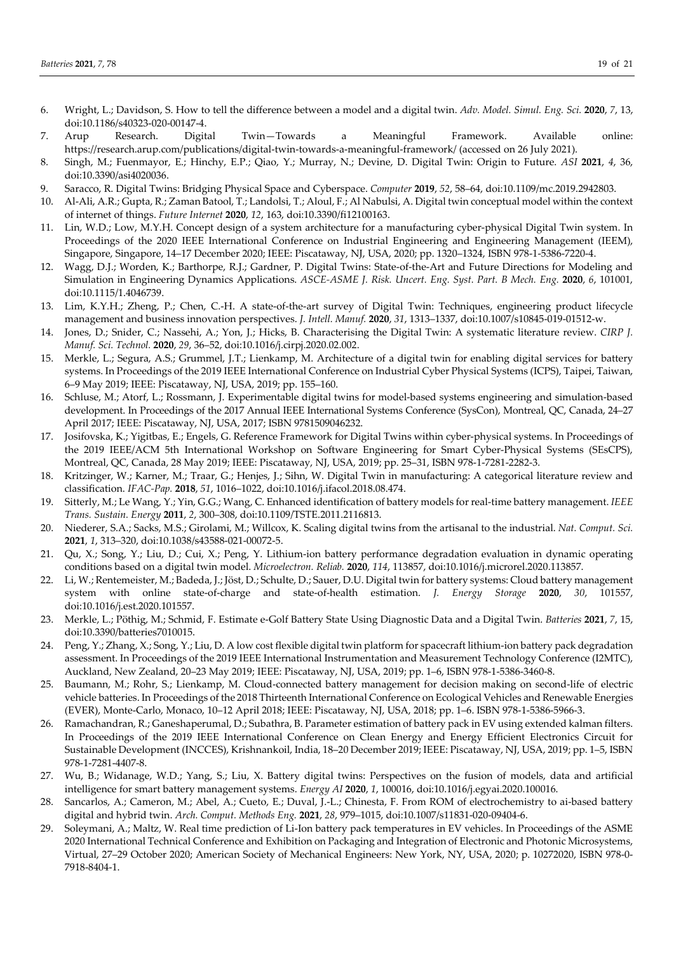- 6. Wright, L.; Davidson, S. How to tell the difference between a model and a digital twin. *Adv. Model. Simul. Eng. Sci.* **2020**, *7*, 13, doi:10.1186/s40323-020-00147-4.
- 7. Arup Research. Digital Twin—Towards a Meaningful Framework. Available online: https://research.arup.com/publications/digital-twin-towards-a-meaningful-framework/ (accessed on 26 July 2021).
- 8. Singh, M.; Fuenmayor, E.; Hinchy, E.P.; Qiao, Y.; Murray, N.; Devine, D. Digital Twin: Origin to Future. *ASI* **2021**, *4*, 36, doi:10.3390/asi4020036.
- 9. Saracco, R. Digital Twins: Bridging Physical Space and Cyberspace. *Computer* **2019**, *52*, 58–64, doi:10.1109/mc.2019.2942803.
- 10. Al-Ali, A.R.; Gupta, R.; Zaman Batool, T.; Landolsi, T.; Aloul, F.; Al Nabulsi, A. Digital twin conceptual model within the context of internet of things. *Future Internet* **2020**, *12*, 163, doi:10.3390/fi12100163.
- 11. Lin, W.D.; Low, M.Y.H. Concept design of a system architecture for a manufacturing cyber-physical Digital Twin system. In Proceedings of the 2020 IEEE International Conference on Industrial Engineering and Engineering Management (IEEM), Singapore, Singapore, 14–17 December 2020; IEEE: Piscataway, NJ, USA, 2020; pp. 1320–1324, ISBN 978-1-5386-7220-4.
- 12. Wagg, D.J.; Worden, K.; Barthorpe, R.J.; Gardner, P. Digital Twins: State-of-the-Art and Future Directions for Modeling and Simulation in Engineering Dynamics Applications. *ASCE-ASME J. Risk. Uncert. Eng. Syst. Part. B Mech. Eng.* **2020**, *6*, 101001, doi:10.1115/1.4046739.
- 13. Lim, K.Y.H.; Zheng, P.; Chen, C.-H. A state-of-the-art survey of Digital Twin: Techniques, engineering product lifecycle management and business innovation perspectives. *J. Intell. Manuf.* **2020**, *31*, 1313–1337, doi:10.1007/s10845-019-01512-w.
- 14. Jones, D.; Snider, C.; Nassehi, A.; Yon, J.; Hicks, B. Characterising the Digital Twin: A systematic literature review. *CIRP J. Manuf. Sci. Technol.* **2020**, *29*, 36–52, doi:10.1016/j.cirpj.2020.02.002.
- 15. Merkle, L.; Segura, A.S.; Grummel, J.T.; Lienkamp, M. Architecture of a digital twin for enabling digital services for battery systems. In Proceedings of the 2019 IEEE International Conference on Industrial Cyber Physical Systems (ICPS), Taipei, Taiwan, 6–9 May 2019; IEEE: Piscataway, NJ, USA, 2019; pp. 155–160.
- 16. Schluse, M.; Atorf, L.; Rossmann, J. Experimentable digital twins for model-based systems engineering and simulation-based development. In Proceedings of the 2017 Annual IEEE International Systems Conference (SysCon), Montreal, QC, Canada, 24–27 April 2017; IEEE: Piscataway, NJ, USA, 2017; ISBN 9781509046232.
- 17. Josifovska, K.; Yigitbas, E.; Engels, G. Reference Framework for Digital Twins within cyber-physical systems. In Proceedings of the 2019 IEEE/ACM 5th International Workshop on Software Engineering for Smart Cyber-Physical Systems (SEsCPS), Montreal, QC, Canada, 28 May 2019; IEEE: Piscataway, NJ, USA, 2019; pp. 25–31, ISBN 978-1-7281-2282-3.
- 18. Kritzinger, W.; Karner, M.; Traar, G.; Henjes, J.; Sihn, W. Digital Twin in manufacturing: A categorical literature review and classification. *IFAC-Pap.* **2018**, *51*, 1016–1022, doi:10.1016/j.ifacol.2018.08.474.
- 19. Sitterly, M.; Le Wang, Y.; Yin, G.G.; Wang, C. Enhanced identification of battery models for real-time battery management. *IEEE Trans. Sustain. Energy* **2011**, *2*, 300–308, doi:10.1109/TSTE.2011.2116813.
- 20. Niederer, S.A.; Sacks, M.S.; Girolami, M.; Willcox, K. Scaling digital twins from the artisanal to the industrial. *Nat. Comput. Sci.*  **2021**, *1*, 313–320, doi:10.1038/s43588-021-00072-5.
- 21. Qu, X.; Song, Y.; Liu, D.; Cui, X.; Peng, Y. Lithium-ion battery performance degradation evaluation in dynamic operating conditions based on a digital twin model. *Microelectron. Reliab.* **2020**, *114*, 113857, doi:10.1016/j.microrel.2020.113857.
- 22. Li, W.; Rentemeister, M.; Badeda, J.; Jöst, D.; Schulte, D.; Sauer, D.U. Digital twin for battery systems: Cloud battery management system with online state-of-charge and state-of-health estimation. *J. Energy Storage* **2020**, *30*, 101557, doi:10.1016/j.est.2020.101557.
- 23. Merkle, L.; Pöthig, M.; Schmid, F. Estimate e-Golf Battery State Using Diagnostic Data and a Digital Twin. *Batteries* **2021**, *7*, 15, doi:10.3390/batteries7010015.
- 24. Peng, Y.; Zhang, X.; Song, Y.; Liu, D. A low cost flexible digital twin platform for spacecraft lithium-ion battery pack degradation assessment. In Proceedings of the 2019 IEEE International Instrumentation and Measurement Technology Conference (I2MTC), Auckland, New Zealand, 20–23 May 2019; IEEE: Piscataway, NJ, USA, 2019; pp. 1–6, ISBN 978-1-5386-3460-8.
- 25. Baumann, M.; Rohr, S.; Lienkamp, M. Cloud-connected battery management for decision making on second-life of electric vehicle batteries. In Proceedings of the 2018 Thirteenth International Conference on Ecological Vehicles and Renewable Energies (EVER), Monte-Carlo, Monaco, 10–12 April 2018; IEEE: Piscataway, NJ, USA, 2018; pp. 1–6. ISBN 978-1-5386-5966-3.
- 26. Ramachandran, R.; Ganeshaperumal, D.; Subathra, B. Parameter estimation of battery pack in EV using extended kalman filters. In Proceedings of the 2019 IEEE International Conference on Clean Energy and Energy Efficient Electronics Circuit for Sustainable Development (INCCES), Krishnankoil, India, 18–20 December 2019; IEEE: Piscataway, NJ, USA, 2019; pp. 1–5, ISBN 978-1-7281-4407-8.
- 27. Wu, B.; Widanage, W.D.; Yang, S.; Liu, X. Battery digital twins: Perspectives on the fusion of models, data and artificial intelligence for smart battery management systems. *Energy AI* **2020**, *1*, 100016, doi:10.1016/j.egyai.2020.100016.
- 28. Sancarlos, A.; Cameron, M.; Abel, A.; Cueto, E.; Duval, J.-L.; Chinesta, F. From ROM of electrochemistry to ai-based battery digital and hybrid twin. *Arch. Comput. Methods Eng.* **2021**, *28*, 979–1015, doi:10.1007/s11831-020-09404-6.
- 29. Soleymani, A.; Maltz, W. Real time prediction of Li-Ion battery pack temperatures in EV vehicles. In Proceedings of the ASME 2020 International Technical Conference and Exhibition on Packaging and Integration of Electronic and Photonic Microsystems, Virtual, 27–29 October 2020; American Society of Mechanical Engineers: New York, NY, USA, 2020; p. 10272020, ISBN 978-0- 7918-8404-1.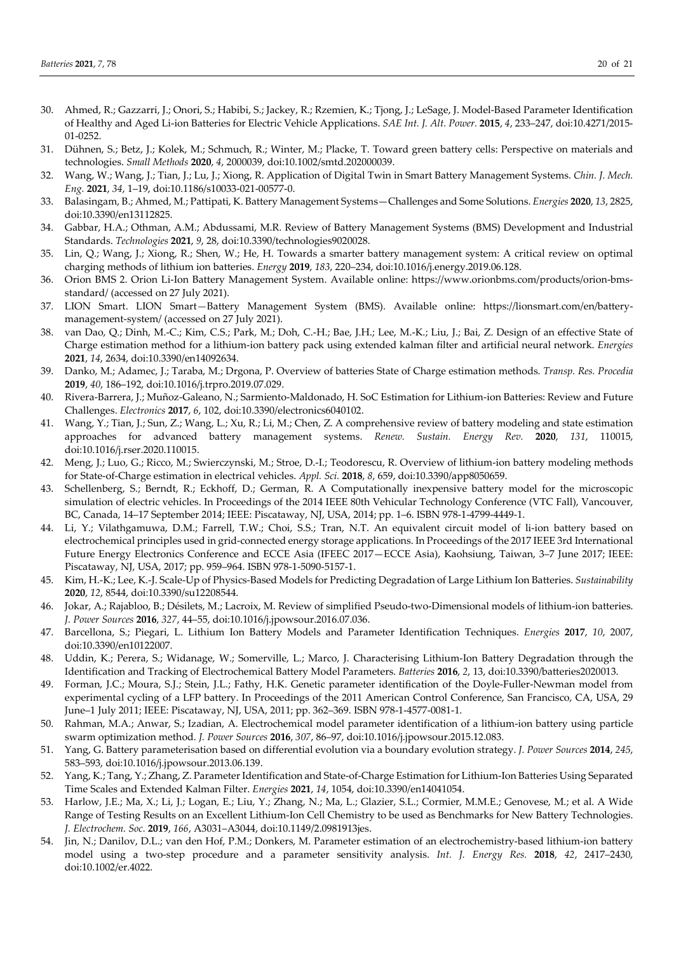- 30. Ahmed, R.; Gazzarri, J.; Onori, S.; Habibi, S.; Jackey, R.; Rzemien, K.; Tjong, J.; LeSage, J. Model-Based Parameter Identification of Healthy and Aged Li-ion Batteries for Electric Vehicle Applications. *SAE Int. J. Alt. Power.* **2015**, *4*, 233–247, doi:10.4271/2015- 01-0252.
- 31. Dühnen, S.; Betz, J.; Kolek, M.; Schmuch, R.; Winter, M.; Placke, T. Toward green battery cells: Perspective on materials and technologies. *Small Methods* **2020**, *4*, 2000039, doi:10.1002/smtd.202000039.
- 32. Wang, W.; Wang, J.; Tian, J.; Lu, J.; Xiong, R. Application of Digital Twin in Smart Battery Management Systems. *Chin. J. Mech. Eng.* **2021**, *34*, 1–19, doi:10.1186/s10033-021-00577-0.
- 33. Balasingam, B.; Ahmed, M.; Pattipati, K. Battery Management Systems—Challenges and Some Solutions. *Energies* **2020**, *13*, 2825, doi:10.3390/en13112825.
- 34. Gabbar, H.A.; Othman, A.M.; Abdussami, M.R. Review of Battery Management Systems (BMS) Development and Industrial Standards. *Technologies* **2021**, *9*, 28, doi:10.3390/technologies9020028.
- 35. Lin, Q.; Wang, J.; Xiong, R.; Shen, W.; He, H. Towards a smarter battery management system: A critical review on optimal charging methods of lithium ion batteries. *Energy* **2019**, *183*, 220–234, doi:10.1016/j.energy.2019.06.128.
- 36. Orion BMS 2. Orion Li-Ion Battery Management System. Available online: https://www.orionbms.com/products/orion-bmsstandard/ (accessed on 27 July 2021).
- 37. LION Smart. LION Smart*—*Battery Management System (BMS). Available online: https://lionsmart.com/en/batterymanagement-system/ (accessed on 27 July 2021).
- 38. van Dao, Q.; Dinh, M.-C.; Kim, C.S.; Park, M.; Doh, C.-H.; Bae, J.H.; Lee, M.-K.; Liu, J.; Bai, Z. Design of an effective State of Charge estimation method for a lithium-ion battery pack using extended kalman filter and artificial neural network. *Energies*  **2021**, *14*, 2634, doi:10.3390/en14092634.
- 39. Danko, M.; Adamec, J.; Taraba, M.; Drgona, P. Overview of batteries State of Charge estimation methods. *Transp. Res. Procedia*  **2019**, *40*, 186–192, doi:10.1016/j.trpro.2019.07.029.
- 40. Rivera-Barrera, J.; Muñoz-Galeano, N.; Sarmiento-Maldonado, H. SoC Estimation for Lithium-ion Batteries: Review and Future Challenges. *Electronics* **2017**, *6*, 102, doi:10.3390/electronics6040102.
- 41. Wang, Y.; Tian, J.; Sun, Z.; Wang, L.; Xu, R.; Li, M.; Chen, Z. A comprehensive review of battery modeling and state estimation approaches for advanced battery management systems. *Renew. Sustain. Energy Rev.* **2020**, *131*, 110015, doi:10.1016/j.rser.2020.110015.
- 42. Meng, J.; Luo, G.; Ricco, M.; Swierczynski, M.; Stroe, D.-I.; Teodorescu, R. Overview of lithium-ion battery modeling methods for State-of-Charge estimation in electrical vehicles. *Appl. Sci.* **2018**, *8*, 659, doi:10.3390/app8050659.
- 43. Schellenberg, S.; Berndt, R.; Eckhoff, D.; German, R. A Computationally inexpensive battery model for the microscopic simulation of electric vehicles. In Proceedings of the 2014 IEEE 80th Vehicular Technology Conference (VTC Fall), Vancouver, BC, Canada, 14–17 September 2014; IEEE: Piscataway, NJ, USA, 2014; pp. 1–6. ISBN 978-1-4799-4449-1.
- 44. Li, Y.; Vilathgamuwa, D.M.; Farrell, T.W.; Choi, S.S.; Tran, N.T. An equivalent circuit model of li-ion battery based on electrochemical principles used in grid-connected energy storage applications. In Proceedings of the 2017 IEEE 3rd International Future Energy Electronics Conference and ECCE Asia (IFEEC 2017—ECCE Asia), Kaohsiung, Taiwan, 3–7 June 2017; IEEE: Piscataway, NJ, USA, 2017; pp. 959–964. ISBN 978-1-5090-5157-1.
- 45. Kim, H.-K.; Lee, K.-J. Scale-Up of Physics-Based Models for Predicting Degradation of Large Lithium Ion Batteries. *Sustainability*  **2020**, *12*, 8544, doi:10.3390/su12208544.
- 46. Jokar, A.; Rajabloo, B.; Désilets, M.; Lacroix, M. Review of simplified Pseudo-two-Dimensional models of lithium-ion batteries. *J. Power Sources* **2016**, *327*, 44–55, doi:10.1016/j.jpowsour.2016.07.036.
- 47. Barcellona, S.; Piegari, L. Lithium Ion Battery Models and Parameter Identification Techniques. *Energies* **2017**, *10*, 2007, doi:10.3390/en10122007.
- 48. Uddin, K.; Perera, S.; Widanage, W.; Somerville, L.; Marco, J. Characterising Lithium-Ion Battery Degradation through the Identification and Tracking of Electrochemical Battery Model Parameters. *Batteries* **2016**, *2*, 13, doi:10.3390/batteries2020013.
- 49. Forman, J.C.; Moura, S.J.; Stein, J.L.; Fathy, H.K. Genetic parameter identification of the Doyle-Fuller-Newman model from experimental cycling of a LFP battery. In Proceedings of the 2011 American Control Conference, San Francisco, CA, USA, 29 June–1 July 2011; IEEE: Piscataway, NJ, USA, 2011; pp. 362–369. ISBN 978-1-4577-0081-1.
- 50. Rahman, M.A.; Anwar, S.; Izadian, A. Electrochemical model parameter identification of a lithium-ion battery using particle swarm optimization method. *J. Power Sources* **2016**, *307*, 86–97, doi:10.1016/j.jpowsour.2015.12.083.
- 51. Yang, G. Battery parameterisation based on differential evolution via a boundary evolution strategy. *J. Power Sources* **2014**, *245*, 583–593, doi:10.1016/j.jpowsour.2013.06.139.
- 52. Yang, K.; Tang, Y.; Zhang, Z. Parameter Identification and State-of-Charge Estimation for Lithium-Ion Batteries Using Separated Time Scales and Extended Kalman Filter. *Energies* **2021**, *14*, 1054, doi:10.3390/en14041054.
- 53. Harlow, J.E.; Ma, X.; Li, J.; Logan, E.; Liu, Y.; Zhang, N.; Ma, L.; Glazier, S.L.; Cormier, M.M.E.; Genovese, M.; et al. A Wide Range of Testing Results on an Excellent Lithium-Ion Cell Chemistry to be used as Benchmarks for New Battery Technologies. *J. Electrochem. Soc.* **2019**, *166*, A3031–A3044, doi:10.1149/2.0981913jes.
- 54. Jin, N.; Danilov, D.L.; van den Hof, P.M.; Donkers, M. Parameter estimation of an electrochemistry-based lithium-ion battery model using a two-step procedure and a parameter sensitivity analysis. *Int. J. Energy Res.* **2018**, *42*, 2417–2430, doi:10.1002/er.4022.